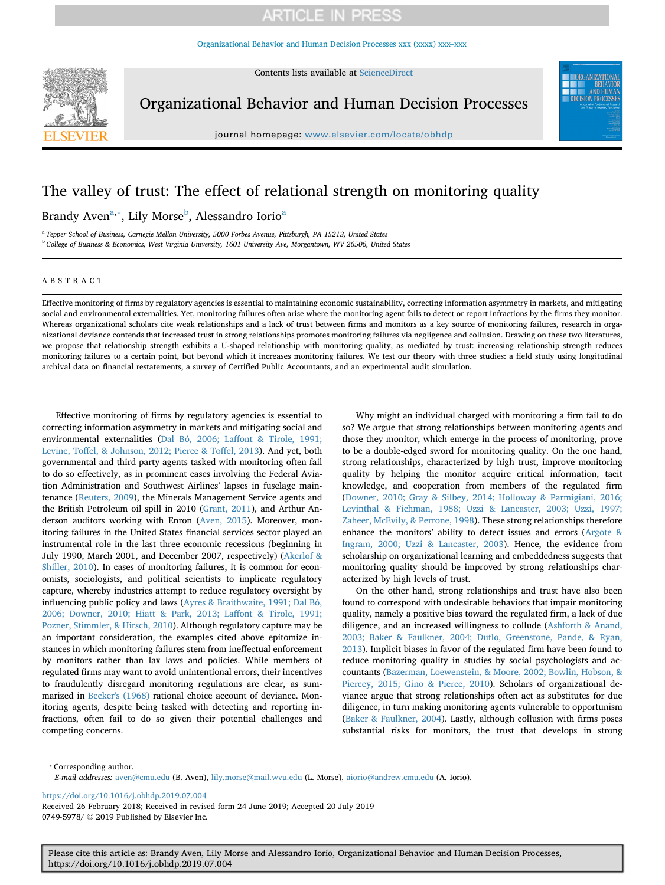[Organizational Behavior and Human Decision Processes xxx \(xxxx\) xxx–xxx](https://doi.org/10.1016/j.obhdp.2019.07.004)



Contents lists available at [ScienceDirect](http://www.sciencedirect.com/science/journal/07495978)

Organizational Behavior and Human Decision Processes

journal homepage: [www.elsevier.com/locate/obhdp](https://www.elsevier.com/locate/obhdp)

## The valley of trust: The effect of relational strength on monitoring quality

Br[a](#page-0-0)ndy Aven<sup>a,</sup>\*, Lily Morse<sup>[b](#page-0-2)</sup>, Alessandro Iorio<sup>a</sup>

<span id="page-0-2"></span><span id="page-0-0"></span><sup>a</sup> *Tepper School of Business, Carnegie Mellon University, 5000 Forbes Avenue, Pittsburgh, PA 15213, United States* <sup>b</sup> *College of Business & Economics, West Virginia University, 1601 University Ave, Morgantown, WV 26506, United States*

### ABSTRACT

Effective monitoring of firms by regulatory agencies is essential to maintaining economic sustainability, correcting information asymmetry in markets, and mitigating social and environmental externalities. Yet, monitoring failures often arise where the monitoring agent fails to detect or report infractions by the firms they monitor. Whereas organizational scholars cite weak relationships and a lack of trust between firms and monitors as a key source of monitoring failures, research in organizational deviance contends that increased trust in strong relationships promotes monitoring failures via negligence and collusion. Drawing on these two literatures, we propose that relationship strength exhibits a U-shaped relationship with monitoring quality, as mediated by trust: increasing relationship strength reduces monitoring failures to a certain point, but beyond which it increases monitoring failures. We test our theory with three studies: a field study using longitudinal archival data on financial restatements, a survey of Certified Public Accountants, and an experimental audit simulation.

Effective monitoring of firms by regulatory agencies is essential to correcting information asymmetry in markets and mitigating social and environmental externalities [\(Dal Bó, 2006; Laffont & Tirole, 1991;](#page-13-0) [Levine, Toffel, & Johnson, 2012; Pierce & Toffel, 2013](#page-13-0)). And yet, both governmental and third party agents tasked with monitoring often fail to do so effectively, as in prominent cases involving the Federal Aviation Administration and Southwest Airlines' lapses in fuselage maintenance [\(Reuters, 2009\)](#page-14-0), the Minerals Management Service agents and the British Petroleum oil spill in 2010 ([Grant, 2011](#page-13-1)), and Arthur Anderson auditors working with Enron [\(Aven, 2015](#page-13-2)). Moreover, monitoring failures in the United States financial services sector played an instrumental role in the last three economic recessions (beginning in July 1990, March 2001, and December 2007, respectively) [\(Akerlof &](#page-13-3) [Shiller, 2010\)](#page-13-3). In cases of monitoring failures, it is common for economists, sociologists, and political scientists to implicate regulatory capture, whereby industries attempt to reduce regulatory oversight by influencing public policy and laws ([Ayres & Braithwaite, 1991; Dal Bó,](#page-13-4) [2006; Downer, 2010; Hiatt & Park, 2013; Laffont & Tirole, 1991;](#page-13-4) [Pozner, Stimmler, & Hirsch, 2010\)](#page-13-4). Although regulatory capture may be an important consideration, the examples cited above epitomize instances in which monitoring failures stem from ineffectual enforcement by monitors rather than lax laws and policies. While members of regulated firms may want to avoid unintentional errors, their incentives to fraudulently disregard monitoring regulations are clear, as summarized in [Becker's \(1968\)](#page-13-5) rational choice account of deviance. Monitoring agents, despite being tasked with detecting and reporting infractions, often fail to do so given their potential challenges and competing concerns.

Why might an individual charged with monitoring a firm fail to do so? We argue that strong relationships between monitoring agents and those they monitor, which emerge in the process of monitoring, prove to be a double-edged sword for monitoring quality. On the one hand, strong relationships, characterized by high trust, improve monitoring quality by helping the monitor acquire critical information, tacit knowledge, and cooperation from members of the regulated firm ([Downer, 2010; Gray & Silbey, 2014; Holloway & Parmigiani, 2016;](#page-13-6) [Levinthal & Fichman, 1988; Uzzi & Lancaster, 2003; Uzzi, 1997;](#page-13-6) [Zaheer, McEvily, & Perrone, 1998\)](#page-13-6). These strong relationships therefore enhance the monitors' ability to detect issues and errors [\(Argote &](#page-13-7) [Ingram, 2000; Uzzi & Lancaster, 2003](#page-13-7)). Hence, the evidence from scholarship on organizational learning and embeddedness suggests that monitoring quality should be improved by strong relationships characterized by high levels of trust.

On the other hand, strong relationships and trust have also been found to correspond with undesirable behaviors that impair monitoring quality, namely a positive bias toward the regulated firm, a lack of due diligence, and an increased willingness to collude ([Ashforth & Anand,](#page-13-8) [2003; Baker & Faulkner, 2004; Duflo, Greenstone, Pande, & Ryan,](#page-13-8) [2013\)](#page-13-8). Implicit biases in favor of the regulated firm have been found to reduce monitoring quality in studies by social psychologists and accountants [\(Bazerman, Loewenstein, & Moore, 2002; Bowlin, Hobson, &](#page-13-9) [Piercey, 2015; Gino & Pierce, 2010\)](#page-13-9). Scholars of organizational deviance argue that strong relationships often act as substitutes for due diligence, in turn making monitoring agents vulnerable to opportunism ([Baker & Faulkner, 2004](#page-13-10)). Lastly, although collusion with firms poses substantial risks for monitors, the trust that develops in strong

<span id="page-0-1"></span>⁎ Corresponding author.

*E-mail addresses:* [aven@cmu.edu](mailto:aven@cmu.edu) (B. Aven), [lily.morse@mail.wvu.edu](mailto:lily.morse@mail.wvu.edu) (L. Morse), [aiorio@andrew.cmu.edu](mailto:aiorio@andrew.cmu.edu) (A. Iorio).

<https://doi.org/10.1016/j.obhdp.2019.07.004>

Received 26 February 2018; Received in revised form 24 June 2019; Accepted 20 July 2019 0749-5978/ © 2019 Published by Elsevier Inc.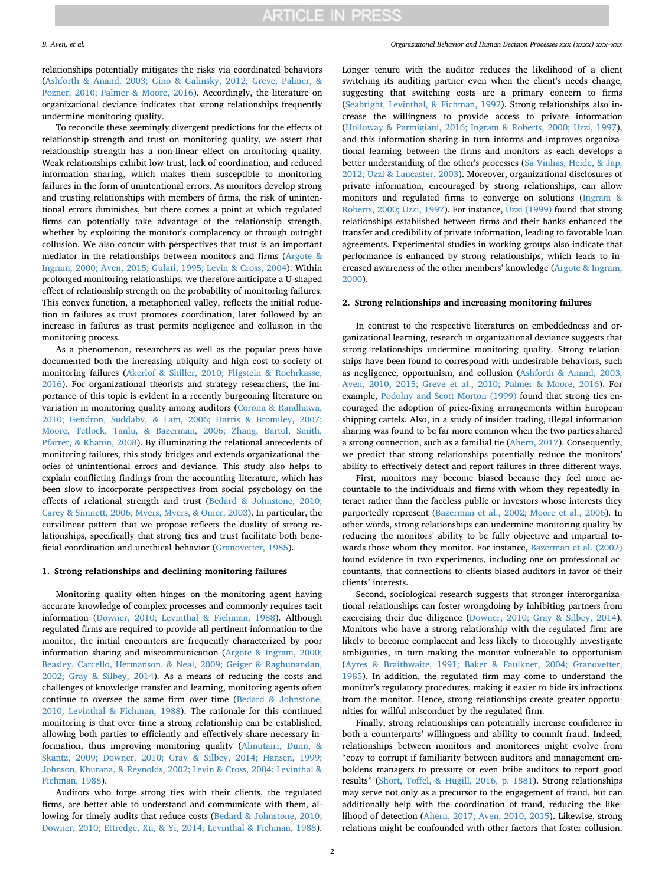relationships potentially mitigates the risks via coordinated behaviors ([Ashforth & Anand, 2003; Gino & Galinsky, 2012; Greve, Palmer, &](#page-13-8) [Pozner, 2010; Palmer & Moore, 2016](#page-13-8)). Accordingly, the literature on organizational deviance indicates that strong relationships frequently undermine monitoring quality.

To reconcile these seemingly divergent predictions for the effects of relationship strength and trust on monitoring quality, we assert that relationship strength has a non-linear effect on monitoring quality. Weak relationships exhibit low trust, lack of coordination, and reduced information sharing, which makes them susceptible to monitoring failures in the form of unintentional errors. As monitors develop strong and trusting relationships with members of firms, the risk of unintentional errors diminishes, but there comes a point at which regulated firms can potentially take advantage of the relationship strength, whether by exploiting the monitor's complacency or through outright collusion. We also concur with perspectives that trust is an important mediator in the relationships between monitors and firms ([Argote &](#page-13-7) [Ingram, 2000; Aven, 2015; Gulati, 1995; Levin & Cross, 2004\)](#page-13-7). Within prolonged monitoring relationships, we therefore anticipate a U-shaped effect of relationship strength on the probability of monitoring failures. This convex function, a metaphorical valley, reflects the initial reduction in failures as trust promotes coordination, later followed by an increase in failures as trust permits negligence and collusion in the monitoring process.

As a phenomenon, researchers as well as the popular press have documented both the increasing ubiquity and high cost to society of monitoring failures [\(Akerlof & Shiller, 2010; Fligstein & Roehrkasse,](#page-13-3) [2016\)](#page-13-3). For organizational theorists and strategy researchers, the importance of this topic is evident in a recently burgeoning literature on variation in monitoring quality among auditors ([Corona & Randhawa,](#page-13-11) [2010; Gendron, Suddaby, & Lam, 2006; Harris & Bromiley, 2007;](#page-13-11) [Moore, Tetlock, Tanlu, & Bazerman, 2006; Zhang, Bartol, Smith,](#page-13-11) [Pfarrer, & Khanin, 2008\)](#page-13-11). By illuminating the relational antecedents of monitoring failures, this study bridges and extends organizational theories of unintentional errors and deviance. This study also helps to explain conflicting findings from the accounting literature, which has been slow to incorporate perspectives from social psychology on the effects of relational strength and trust [\(Bedard & Johnstone, 2010;](#page-13-12) [Carey & Simnett, 2006; Myers, Myers, & Omer, 2003](#page-13-12)). In particular, the curvilinear pattern that we propose reflects the duality of strong relationships, specifically that strong ties and trust facilitate both beneficial coordination and unethical behavior [\(Granovetter, 1985](#page-13-13)).

#### **1. Strong relationships and declining monitoring failures**

Monitoring quality often hinges on the monitoring agent having accurate knowledge of complex processes and commonly requires tacit information ([Downer, 2010; Levinthal & Fichman, 1988\)](#page-13-6). Although regulated firms are required to provide all pertinent information to the monitor, the initial encounters are frequently characterized by poor information sharing and miscommunication ([Argote & Ingram, 2000;](#page-13-7) [Beasley, Carcello, Hermanson, & Neal, 2009; Geiger & Raghunandan,](#page-13-7) [2002; Gray & Silbey, 2014\)](#page-13-7). As a means of reducing the costs and challenges of knowledge transfer and learning, monitoring agents often continue to oversee the same firm over time [\(Bedard & Johnstone,](#page-13-12) [2010; Levinthal & Fichman, 1988\)](#page-13-12). The rationale for this continued monitoring is that over time a strong relationship can be established, allowing both parties to efficiently and effectively share necessary information, thus improving monitoring quality [\(Almutairi, Dunn, &](#page-13-14) [Skantz, 2009; Downer, 2010; Gray & Silbey, 2014; Hansen, 1999;](#page-13-14) [Johnson, Khurana, & Reynolds, 2002; Levin & Cross, 2004; Levinthal &](#page-13-14) [Fichman, 1988\)](#page-13-14).

Auditors who forge strong ties with their clients, the regulated firms, are better able to understand and communicate with them, allowing for timely audits that reduce costs ([Bedard & Johnstone, 2010;](#page-13-12) [Downer, 2010; Ettredge, Xu, & Yi, 2014; Levinthal & Fichman, 1988](#page-13-12)).

Longer tenure with the auditor reduces the likelihood of a client switching its auditing partner even when the client's needs change, suggesting that switching costs are a primary concern to firms ([Seabright, Levinthal, & Fichman, 1992\)](#page-14-1). Strong relationships also increase the willingness to provide access to private information ([Holloway & Parmigiani, 2016; Ingram & Roberts, 2000; Uzzi, 1997](#page-13-15)), and this information sharing in turn informs and improves organizational learning between the firms and monitors as each develops a better understanding of the other's processes [\(Sa Vinhas, Heide, & Jap,](#page-14-2) [2012; Uzzi & Lancaster, 2003\)](#page-14-2). Moreover, organizational disclosures of private information, encouraged by strong relationships, can allow monitors and regulated firms to converge on solutions [\(Ingram &](#page-13-16) [Roberts, 2000; Uzzi, 1997](#page-13-16)). For instance, [Uzzi \(1999\)](#page-14-3) found that strong relationships established between firms and their banks enhanced the transfer and credibility of private information, leading to favorable loan agreements. Experimental studies in working groups also indicate that performance is enhanced by strong relationships, which leads to increased awareness of the other members' knowledge ([Argote & Ingram,](#page-13-7) [2000\)](#page-13-7).

#### **2. Strong relationships and increasing monitoring failures**

In contrast to the respective literatures on embeddedness and organizational learning, research in organizational deviance suggests that strong relationships undermine monitoring quality. Strong relationships have been found to correspond with undesirable behaviors, such as negligence, opportunism, and collusion ([Ashforth & Anand, 2003;](#page-13-8) [Aven, 2010, 2015; Greve et al., 2010; Palmer & Moore, 2016\)](#page-13-8). For example, [Podolny and Scott Morton \(1999\)](#page-14-4) found that strong ties encouraged the adoption of price-fixing arrangements within European shipping cartels. Also, in a study of insider trading, illegal information sharing was found to be far more common when the two parties shared a strong connection, such as a familial tie ([Ahern, 2017\)](#page-13-17). Consequently, we predict that strong relationships potentially reduce the monitors' ability to effectively detect and report failures in three different ways.

First, monitors may become biased because they feel more accountable to the individuals and firms with whom they repeatedly interact rather than the faceless public or investors whose interests they purportedly represent [\(Bazerman et al., 2002; Moore et al., 2006](#page-13-9)). In other words, strong relationships can undermine monitoring quality by reducing the monitors' ability to be fully objective and impartial towards those whom they monitor. For instance, [Bazerman et al. \(2002\)](#page-13-9) found evidence in two experiments, including one on professional accountants, that connections to clients biased auditors in favor of their clients' interests.

Second, sociological research suggests that stronger interorganizational relationships can foster wrongdoing by inhibiting partners from exercising their due diligence ([Downer, 2010; Gray & Silbey, 2014](#page-13-6)). Monitors who have a strong relationship with the regulated firm are likely to become complacent and less likely to thoroughly investigate ambiguities, in turn making the monitor vulnerable to opportunism ([Ayres & Braithwaite, 1991; Baker & Faulkner, 2004; Granovetter,](#page-13-4) [1985\)](#page-13-4). In addition, the regulated firm may come to understand the monitor's regulatory procedures, making it easier to hide its infractions from the monitor. Hence, strong relationships create greater opportunities for willful misconduct by the regulated firm.

Finally, strong relationships can potentially increase confidence in both a counterparts' willingness and ability to commit fraud. Indeed, relationships between monitors and monitorees might evolve from "cozy to corrupt if familiarity between auditors and management emboldens managers to pressure or even bribe auditors to report good results" [\(Short, Toffel, & Hugill, 2016, p. 1881\)](#page-14-5). Strong relationships may serve not only as a precursor to the engagement of fraud, but can additionally help with the coordination of fraud, reducing the likelihood of detection ([Ahern, 2017; Aven, 2010, 2015](#page-13-17)). Likewise, strong relations might be confounded with other factors that foster collusion.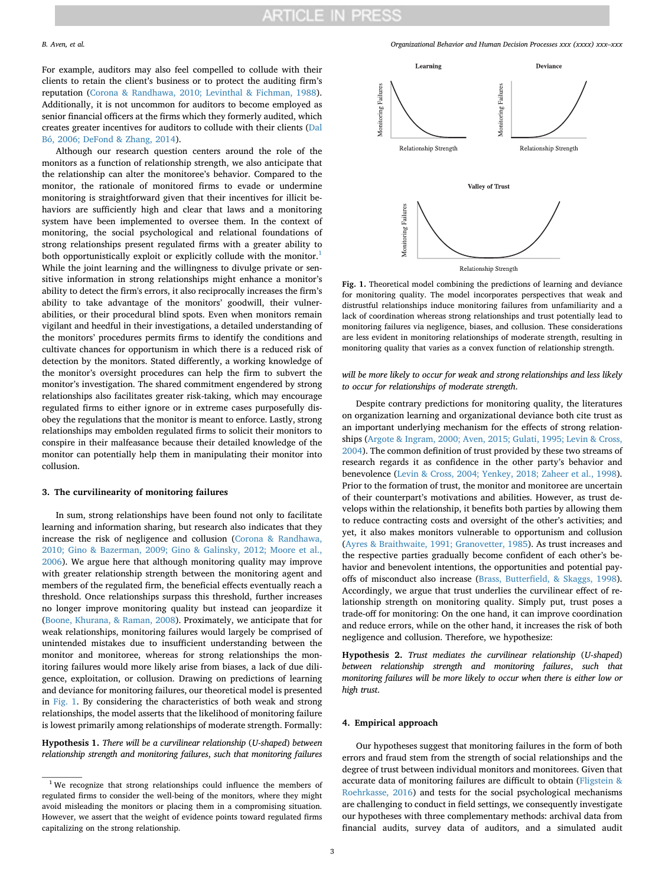For example, auditors may also feel compelled to collude with their clients to retain the client's business or to protect the auditing firm's reputation ([Corona & Randhawa, 2010; Levinthal & Fichman, 1988](#page-13-11)). Additionally, it is not uncommon for auditors to become employed as senior financial officers at the firms which they formerly audited, which creates greater incentives for auditors to collude with their clients ([Dal](#page-13-0) [Bó, 2006; DeFond & Zhang, 2014](#page-13-0)).

Although our research question centers around the role of the monitors as a function of relationship strength, we also anticipate that the relationship can alter the monitoree's behavior. Compared to the monitor, the rationale of monitored firms to evade or undermine monitoring is straightforward given that their incentives for illicit behaviors are sufficiently high and clear that laws and a monitoring system have been implemented to oversee them. In the context of monitoring, the social psychological and relational foundations of strong relationships present regulated firms with a greater ability to both opportunistically exploit or explicitly collude with the monitor.<sup>1</sup> While the joint learning and the willingness to divulge private or sensitive information in strong relationships might enhance a monitor's ability to detect the firm's errors, it also reciprocally increases the firm's ability to take advantage of the monitors' goodwill, their vulnerabilities, or their procedural blind spots. Even when monitors remain vigilant and heedful in their investigations, a detailed understanding of the monitors' procedures permits firms to identify the conditions and cultivate chances for opportunism in which there is a reduced risk of detection by the monitors. Stated differently, a working knowledge of the monitor's oversight procedures can help the firm to subvert the monitor's investigation. The shared commitment engendered by strong relationships also facilitates greater risk-taking, which may encourage regulated firms to either ignore or in extreme cases purposefully disobey the regulations that the monitor is meant to enforce. Lastly, strong relationships may embolden regulated firms to solicit their monitors to conspire in their malfeasance because their detailed knowledge of the monitor can potentially help them in manipulating their monitor into collusion.

#### **3. The curvilinearity of monitoring failures**

In sum, strong relationships have been found not only to facilitate learning and information sharing, but research also indicates that they increase the risk of negligence and collusion [\(Corona & Randhawa,](#page-13-11) [2010; Gino & Bazerman, 2009; Gino & Galinsky, 2012; Moore et al.,](#page-13-11) [2006\)](#page-13-11). We argue here that although monitoring quality may improve with greater relationship strength between the monitoring agent and members of the regulated firm, the beneficial effects eventually reach a threshold. Once relationships surpass this threshold, further increases no longer improve monitoring quality but instead can jeopardize it ([Boone, Khurana, & Raman, 2008](#page-13-18)). Proximately, we anticipate that for weak relationships, monitoring failures would largely be comprised of unintended mistakes due to insufficient understanding between the monitor and monitoree, whereas for strong relationships the monitoring failures would more likely arise from biases, a lack of due diligence, exploitation, or collusion. Drawing on predictions of learning and deviance for monitoring failures, our theoretical model is presented in [Fig. 1.](#page-2-1) By considering the characteristics of both weak and strong relationships, the model asserts that the likelihood of monitoring failure is lowest primarily among relationships of moderate strength. Formally:

<span id="page-2-2"></span>**Hypothesis 1.** *There will be a curvilinear relationship* (*U*-*shaped*) *between relationship strength and monitoring failures*, *such that monitoring failures*

*B. Aven, et al. Organizational Behavior and Human Decision Processes xxx (xxxx) xxx–xxx*

<span id="page-2-1"></span>

Relationship Strength

**Fig. 1.** Theoretical model combining the predictions of learning and deviance for monitoring quality. The model incorporates perspectives that weak and distrustful relationships induce monitoring failures from unfamiliarity and a lack of coordination whereas strong relationships and trust potentially lead to monitoring failures via negligence, biases, and collusion. These considerations are less evident in monitoring relationships of moderate strength, resulting in monitoring quality that varies as a convex function of relationship strength.

### *will be more likely to occur for weak and strong relationships and less likely to occur for relationships of moderate strength*.

Despite contrary predictions for monitoring quality, the literatures on organization learning and organizational deviance both cite trust as an important underlying mechanism for the effects of strong relationships [\(Argote & Ingram, 2000; Aven, 2015; Gulati, 1995; Levin & Cross,](#page-13-7) [2004\)](#page-13-7). The common definition of trust provided by these two streams of research regards it as confidence in the other party's behavior and benevolence ([Levin & Cross, 2004; Yenkey, 2018; Zaheer et al., 1998](#page-13-19)). Prior to the formation of trust, the monitor and monitoree are uncertain of their counterpart's motivations and abilities. However, as trust develops within the relationship, it benefits both parties by allowing them to reduce contracting costs and oversight of the other's activities; and yet, it also makes monitors vulnerable to opportunism and collusion ([Ayres & Braithwaite, 1991; Granovetter, 1985\)](#page-13-4). As trust increases and the respective parties gradually become confident of each other's behavior and benevolent intentions, the opportunities and potential payoffs of misconduct also increase ([Brass, Butterfield, & Skaggs, 1998](#page-13-20)). Accordingly, we argue that trust underlies the curvilinear effect of relationship strength on monitoring quality. Simply put, trust poses a trade-off for monitoring: On the one hand, it can improve coordination and reduce errors, while on the other hand, it increases the risk of both negligence and collusion. Therefore, we hypothesize:

<span id="page-2-3"></span>**Hypothesis 2.** *Trust mediates the curvilinear relationship* (*U*-*shaped*) *between relationship strength and monitoring failures*, *such that monitoring failures will be more likely to occur when there is either low or high trust*.

#### **4. Empirical approach**

Our hypotheses suggest that monitoring failures in the form of both errors and fraud stem from the strength of social relationships and the degree of trust between individual monitors and monitorees. Given that accurate data of monitoring failures are difficult to obtain [\(Fligstein &](#page-13-21) [Roehrkasse, 2016\)](#page-13-21) and tests for the social psychological mechanisms are challenging to conduct in field settings, we consequently investigate our hypotheses with three complementary methods: archival data from financial audits, survey data of auditors, and a simulated audit

<span id="page-2-0"></span><sup>&</sup>lt;sup>1</sup> We recognize that strong relationships could influence the members of regulated firms to consider the well-being of the monitors, where they might avoid misleading the monitors or placing them in a compromising situation. However, we assert that the weight of evidence points toward regulated firms capitalizing on the strong relationship.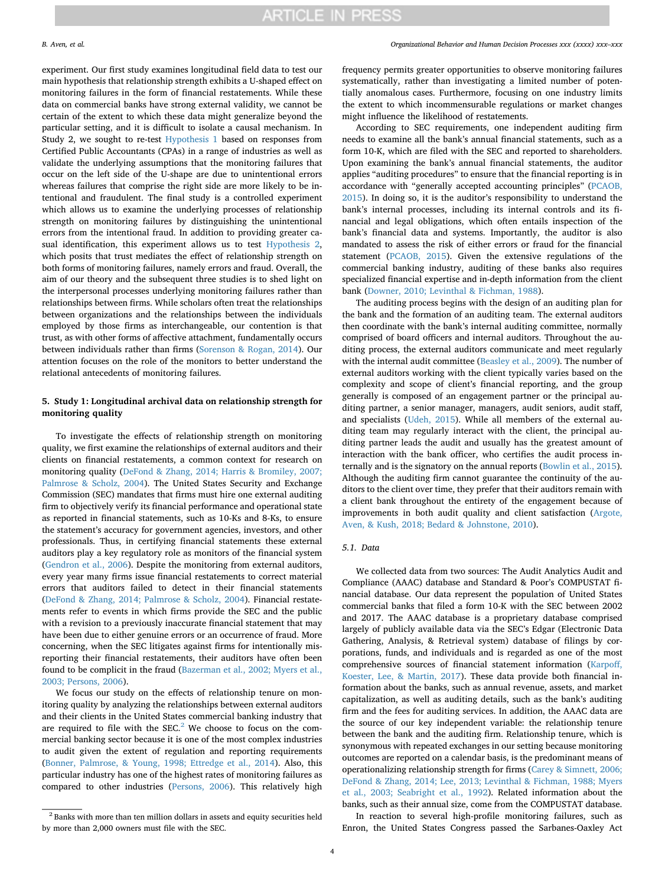experiment. Our first study examines longitudinal field data to test our main hypothesis that relationship strength exhibits a U-shaped effect on monitoring failures in the form of financial restatements. While these data on commercial banks have strong external validity, we cannot be certain of the extent to which these data might generalize beyond the particular setting, and it is difficult to isolate a causal mechanism. In Study 2, we sought to re-test [Hypothesis 1](#page-2-2) based on responses from Certified Public Accountants (CPAs) in a range of industries as well as validate the underlying assumptions that the monitoring failures that occur on the left side of the U-shape are due to unintentional errors whereas failures that comprise the right side are more likely to be intentional and fraudulent. The final study is a controlled experiment which allows us to examine the underlying processes of relationship strength on monitoring failures by distinguishing the unintentional errors from the intentional fraud. In addition to providing greater casual identification, this experiment allows us to test [Hypothesis 2](#page-2-3), which posits that trust mediates the effect of relationship strength on both forms of monitoring failures, namely errors and fraud. Overall, the aim of our theory and the subsequent three studies is to shed light on the interpersonal processes underlying monitoring failures rather than relationships between firms. While scholars often treat the relationships between organizations and the relationships between the individuals employed by those firms as interchangeable, our contention is that trust, as with other forms of affective attachment, fundamentally occurs between individuals rather than firms ([Sorenson & Rogan, 2014](#page-14-6)). Our attention focuses on the role of the monitors to better understand the relational antecedents of monitoring failures.

### **5. Study 1: Longitudinal archival data on relationship strength for monitoring quality**

To investigate the effects of relationship strength on monitoring quality, we first examine the relationships of external auditors and their clients on financial restatements, a common context for research on monitoring quality [\(DeFond & Zhang, 2014; Harris & Bromiley, 2007;](#page-13-22) [Palmrose & Scholz, 2004](#page-13-22)). The United States Security and Exchange Commission (SEC) mandates that firms must hire one external auditing firm to objectively verify its financial performance and operational state as reported in financial statements, such as 10-Ks and 8-Ks, to ensure the statement's accuracy for government agencies, investors, and other professionals. Thus, in certifying financial statements these external auditors play a key regulatory role as monitors of the financial system ([Gendron et al., 2006](#page-13-23)). Despite the monitoring from external auditors, every year many firms issue financial restatements to correct material errors that auditors failed to detect in their financial statements ([DeFond & Zhang, 2014; Palmrose & Scholz, 2004](#page-13-22)). Financial restatements refer to events in which firms provide the SEC and the public with a revision to a previously inaccurate financial statement that may have been due to either genuine errors or an occurrence of fraud. More concerning, when the SEC litigates against firms for intentionally misreporting their financial restatements, their auditors have often been found to be complicit in the fraud ([Bazerman et al., 2002; Myers et al.,](#page-13-9) [2003; Persons, 2006](#page-13-9)).

We focus our study on the effects of relationship tenure on monitoring quality by analyzing the relationships between external auditors and their clients in the United States commercial banking industry that are required to file with the  $SEC.<sup>2</sup>$  $SEC.<sup>2</sup>$  $SEC.<sup>2</sup>$  We choose to focus on the commercial banking sector because it is one of the most complex industries to audit given the extent of regulation and reporting requirements ([Bonner, Palmrose, & Young, 1998; Ettredge et al., 2014](#page-13-24)). Also, this particular industry has one of the highest rates of monitoring failures as compared to other industries [\(Persons, 2006\)](#page-14-7). This relatively high

frequency permits greater opportunities to observe monitoring failures systematically, rather than investigating a limited number of potentially anomalous cases. Furthermore, focusing on one industry limits the extent to which incommensurable regulations or market changes might influence the likelihood of restatements.

According to SEC requirements, one independent auditing firm needs to examine all the bank's annual financial statements, such as a form 10-K, which are filed with the SEC and reported to shareholders. Upon examining the bank's annual financial statements, the auditor applies "auditing procedures" to ensure that the financial reporting is in accordance with "generally accepted accounting principles" ([PCAOB,](#page-14-8) [2015\)](#page-14-8). In doing so, it is the auditor's responsibility to understand the bank's internal processes, including its internal controls and its financial and legal obligations, which often entails inspection of the bank's financial data and systems. Importantly, the auditor is also mandated to assess the risk of either errors or fraud for the financial statement [\(PCAOB, 2015](#page-14-8)). Given the extensive regulations of the commercial banking industry, auditing of these banks also requires specialized financial expertise and in-depth information from the client bank [\(Downer, 2010; Levinthal & Fichman, 1988\)](#page-13-6).

The auditing process begins with the design of an auditing plan for the bank and the formation of an auditing team. The external auditors then coordinate with the bank's internal auditing committee, normally comprised of board officers and internal auditors. Throughout the auditing process, the external auditors communicate and meet regularly with the internal audit committee [\(Beasley et al., 2009\)](#page-13-25). The number of external auditors working with the client typically varies based on the complexity and scope of client's financial reporting, and the group generally is composed of an engagement partner or the principal auditing partner, a senior manager, managers, audit seniors, audit staff, and specialists [\(Udeh, 2015\)](#page-14-9). While all members of the external auditing team may regularly interact with the client, the principal auditing partner leads the audit and usually has the greatest amount of interaction with the bank officer, who certifies the audit process internally and is the signatory on the annual reports [\(Bowlin et al., 2015](#page-13-26)). Although the auditing firm cannot guarantee the continuity of the auditors to the client over time, they prefer that their auditors remain with a client bank throughout the entirety of the engagement because of improvements in both audit quality and client satisfaction ([Argote,](#page-13-27) [Aven, & Kush, 2018;](#page-13-27) [Bedard & Johnstone, 2010](#page-13-12)).

#### *5.1. Data*

We collected data from two sources: The Audit Analytics Audit and Compliance (AAAC) database and Standard & Poor's COMPUSTAT financial database. Our data represent the population of United States commercial banks that filed a form 10-K with the SEC between 2002 and 2017. The AAAC database is a proprietary database comprised largely of publicly available data via the SEC's Edgar (Electronic Data Gathering, Analysis, & Retrieval system) database of filings by corporations, funds, and individuals and is regarded as one of the most comprehensive sources of financial statement information [\(Karpoff,](#page-13-28) [Koester, Lee, & Martin, 2017\)](#page-13-28). These data provide both financial information about the banks, such as annual revenue, assets, and market capitalization, as well as auditing details, such as the bank's auditing firm and the fees for auditing services. In addition, the AAAC data are the source of our key independent variable: the relationship tenure between the bank and the auditing firm. Relationship tenure, which is synonymous with repeated exchanges in our setting because monitoring outcomes are reported on a calendar basis, is the predominant means of operationalizing relationship strength for firms [\(Carey & Simnett, 2006;](#page-13-29) [DeFond & Zhang, 2014; Lee, 2013; Levinthal & Fichman, 1988; Myers](#page-13-29) [et al., 2003; Seabright et al., 1992\)](#page-13-29). Related information about the banks, such as their annual size, come from the COMPUSTAT database.

In reaction to several high-profile monitoring failures, such as Enron, the United States Congress passed the Sarbanes-Oaxley Act

<span id="page-3-0"></span><sup>&</sup>lt;sup>2</sup> Banks with more than ten million dollars in assets and equity securities held by more than 2,000 owners must file with the SEC.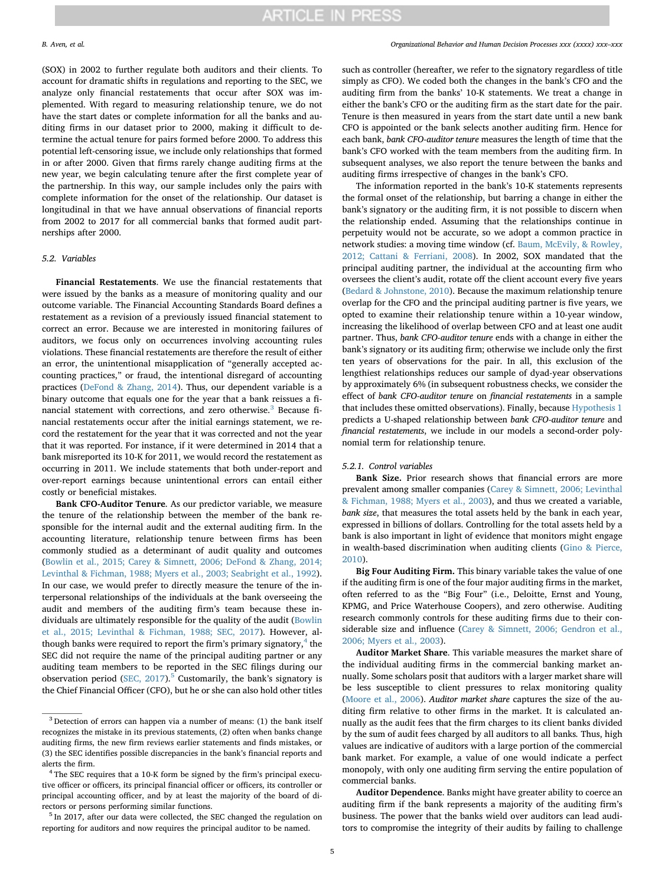(SOX) in 2002 to further regulate both auditors and their clients. To account for dramatic shifts in regulations and reporting to the SEC, we analyze only financial restatements that occur after SOX was implemented. With regard to measuring relationship tenure, we do not have the start dates or complete information for all the banks and auditing firms in our dataset prior to 2000, making it difficult to determine the actual tenure for pairs formed before 2000. To address this potential left-censoring issue, we include only relationships that formed in or after 2000. Given that firms rarely change auditing firms at the new year, we begin calculating tenure after the first complete year of the partnership. In this way, our sample includes only the pairs with complete information for the onset of the relationship. Our dataset is longitudinal in that we have annual observations of financial reports from 2002 to 2017 for all commercial banks that formed audit partnerships after 2000.

#### *5.2. Variables*

**Financial Restatements**. We use the financial restatements that were issued by the banks as a measure of monitoring quality and our outcome variable. The Financial Accounting Standards Board defines a restatement as a revision of a previously issued financial statement to correct an error. Because we are interested in monitoring failures of auditors, we focus only on occurrences involving accounting rules violations. These financial restatements are therefore the result of either an error, the unintentional misapplication of "generally accepted accounting practices," or fraud, the intentional disregard of accounting practices ([DeFond & Zhang, 2014\)](#page-13-22). Thus, our dependent variable is a binary outcome that equals one for the year that a bank reissues a fi-nancial statement with corrections, and zero otherwise.<sup>[3](#page-4-0)</sup> Because financial restatements occur after the initial earnings statement, we record the restatement for the year that it was corrected and not the year that it was reported. For instance, if it were determined in 2014 that a bank misreported its 10-K for 2011, we would record the restatement as occurring in 2011. We include statements that both under-report and over-report earnings because unintentional errors can entail either costly or beneficial mistakes.

**Bank CFO-Auditor Tenure**. As our predictor variable, we measure the tenure of the relationship between the member of the bank responsible for the internal audit and the external auditing firm. In the accounting literature, relationship tenure between firms has been commonly studied as a determinant of audit quality and outcomes ([Bowlin et al., 2015; Carey & Simnett, 2006; DeFond & Zhang, 2014;](#page-13-26) [Levinthal & Fichman, 1988; Myers et al., 2003; Seabright et al., 1992](#page-13-26)). In our case, we would prefer to directly measure the tenure of the interpersonal relationships of the individuals at the bank overseeing the audit and members of the auditing firm's team because these individuals are ultimately responsible for the quality of the audit ([Bowlin](#page-13-26) [et al., 2015; Levinthal & Fichman, 1988; SEC, 2017\)](#page-13-26). However, although banks were required to report the firm's primary signatory, $4$  the SEC did not require the name of the principal auditing partner or any auditing team members to be reported in the SEC filings during our observation period (SEC,  $2017$ ).<sup>[5](#page-4-2)</sup> Customarily, the bank's signatory is the Chief Financial Officer (CFO), but he or she can also hold other titles

<span id="page-4-2"></span><sup>5</sup> In 2017, after our data were collected, the SEC changed the regulation on reporting for auditors and now requires the principal auditor to be named.

such as controller (hereafter, we refer to the signatory regardless of title simply as CFO). We coded both the changes in the bank's CFO and the auditing firm from the banks' 10-K statements. We treat a change in either the bank's CFO or the auditing firm as the start date for the pair. Tenure is then measured in years from the start date until a new bank CFO is appointed or the bank selects another auditing firm. Hence for each bank, *bank CFO-auditor tenure* measures the length of time that the bank's CFO worked with the team members from the auditing firm. In subsequent analyses, we also report the tenure between the banks and auditing firms irrespective of changes in the bank's CFO.

The information reported in the bank's 10-K statements represents the formal onset of the relationship, but barring a change in either the bank's signatory or the auditing firm, it is not possible to discern when the relationship ended. Assuming that the relationships continue in perpetuity would not be accurate, so we adopt a common practice in network studies: a moving time window (cf. [Baum, McEvily, & Rowley,](#page-13-30) [2012; Cattani & Ferriani, 2008](#page-13-30)). In 2002, SOX mandated that the principal auditing partner, the individual at the accounting firm who oversees the client's audit, rotate off the client account every five years ([Bedard & Johnstone, 2010](#page-13-12)). Because the maximum relationship tenure overlap for the CFO and the principal auditing partner is five years, we opted to examine their relationship tenure within a 10-year window, increasing the likelihood of overlap between CFO and at least one audit partner. Thus, *bank CFO-auditor tenure* ends with a change in either the bank's signatory or its auditing firm; otherwise we include only the first ten years of observations for the pair. In all, this exclusion of the lengthiest relationships reduces our sample of dyad-year observations by approximately 6% (in subsequent robustness checks, we consider the effect of *bank CFO-auditor tenure* on *financial restatements* in a sample that includes these omitted observations). Finally, because [Hypothesis 1](#page-2-2) predicts a U-shaped relationship between *bank CFO-auditor tenure* and *financial restatements*, we include in our models a second-order polynomial term for relationship tenure.

#### *5.2.1. Control variables*

**Bank Size.** Prior research shows that financial errors are more prevalent among smaller companies [\(Carey & Simnett, 2006; Levinthal](#page-13-29) [& Fichman, 1988; Myers et al., 2003\)](#page-13-29), and thus we created a variable, *bank size*, that measures the total assets held by the bank in each year, expressed in billions of dollars. Controlling for the total assets held by a bank is also important in light of evidence that monitors might engage in wealth-based discrimination when auditing clients ([Gino & Pierce,](#page-13-31) [2010\)](#page-13-31).

**Big Four Auditing Firm.** This binary variable takes the value of one if the auditing firm is one of the four major auditing firms in the market, often referred to as the "Big Four" (i.e., Deloitte, Ernst and Young, KPMG, and Price Waterhouse Coopers), and zero otherwise. Auditing research commonly controls for these auditing firms due to their considerable size and influence ([Carey & Simnett, 2006; Gendron et al.,](#page-13-29) [2006; Myers et al., 2003](#page-13-29)).

**Auditor Market Share**. This variable measures the market share of the individual auditing firms in the commercial banking market annually. Some scholars posit that auditors with a larger market share will be less susceptible to client pressures to relax monitoring quality ([Moore et al., 2006](#page-13-32)). *Auditor market share* captures the size of the auditing firm relative to other firms in the market. It is calculated annually as the audit fees that the firm charges to its client banks divided by the sum of audit fees charged by all auditors to all banks*.* Thus, high values are indicative of auditors with a large portion of the commercial bank market. For example, a value of one would indicate a perfect monopoly, with only one auditing firm serving the entire population of commercial banks.

**Auditor Dependence**. Banks might have greater ability to coerce an auditing firm if the bank represents a majority of the auditing firm's business. The power that the banks wield over auditors can lead auditors to compromise the integrity of their audits by failing to challenge

<span id="page-4-0"></span><sup>&</sup>lt;sup>3</sup> Detection of errors can happen via a number of means: (1) the bank itself recognizes the mistake in its previous statements, (2) often when banks change auditing firms, the new firm reviews earlier statements and finds mistakes, or (3) the SEC identifies possible discrepancies in the bank's financial reports and alerts the firm.

<span id="page-4-1"></span><sup>&</sup>lt;sup>4</sup> The SEC requires that a 10-K form be signed by the firm's principal executive officer or officers, its principal financial officer or officers, its controller or principal accounting officer, and by at least the majority of the board of directors or persons performing similar functions.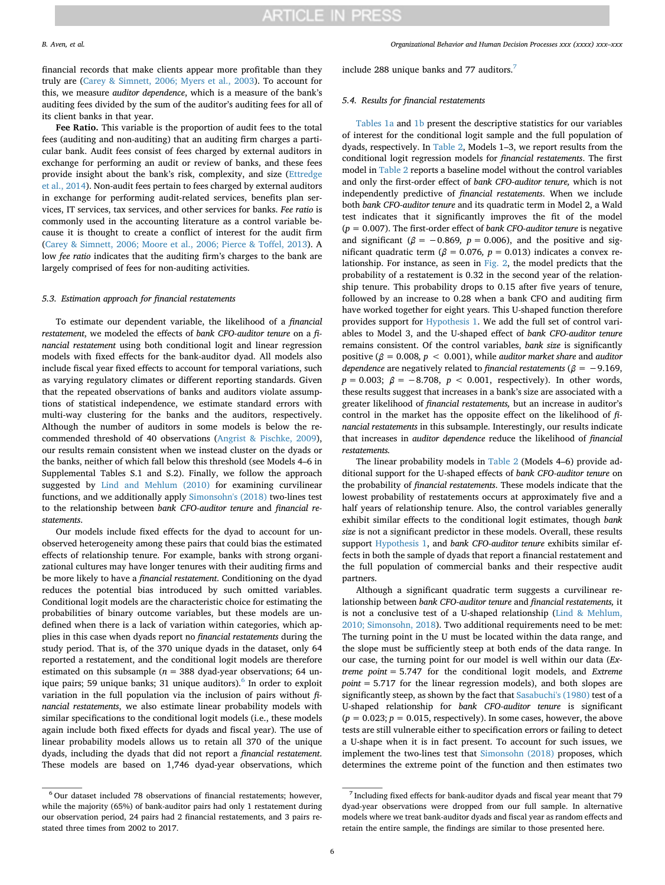financial records that make clients appear more profitable than they truly are ([Carey & Simnett, 2006; Myers et al., 2003\)](#page-13-29). To account for this, we measure *auditor dependence*, which is a measure of the bank's auditing fees divided by the sum of the auditor's auditing fees for all of its client banks in that year.

**Fee Ratio.** This variable is the proportion of audit fees to the total fees (auditing and non-auditing) that an auditing firm charges a particular bank. Audit fees consist of fees charged by external auditors in exchange for performing an audit or review of banks, and these fees provide insight about the bank's risk, complexity, and size ([Ettredge](#page-13-33) [et al., 2014\)](#page-13-33). Non-audit fees pertain to fees charged by external auditors in exchange for performing audit-related services, benefits plan services, IT services, tax services, and other services for banks. *Fee ratio* is commonly used in the accounting literature as a control variable because it is thought to create a conflict of interest for the audit firm ([Carey & Simnett, 2006; Moore et al., 2006; Pierce & Toffel, 2013](#page-13-29)). A low *fee ratio* indicates that the auditing firm's charges to the bank are largely comprised of fees for non-auditing activities.

#### *5.3. Estimation approach for financial restatements*

To estimate our dependent variable, the likelihood of a *financial restatement*, we modeled the effects of *bank CFO-auditor tenure* on a *financial restatement* using both conditional logit and linear regression models with fixed effects for the bank-auditor dyad. All models also include fiscal year fixed effects to account for temporal variations, such as varying regulatory climates or different reporting standards. Given that the repeated observations of banks and auditors violate assumptions of statistical independence, we estimate standard errors with multi-way clustering for the banks and the auditors, respectively. Although the number of auditors in some models is below the recommended threshold of 40 observations ([Angrist & Pischke, 2009](#page-13-34)), our results remain consistent when we instead cluster on the dyads or the banks, neither of which fall below this threshold (see Models 4–6 in Supplemental Tables S.1 and S.2). Finally, we follow the approach suggested by [Lind and Mehlum \(2010\)](#page-13-35) for examining curvilinear functions, and we additionally apply [Simonsohn's \(2018\)](#page-14-11) two-lines test to the relationship between *bank CFO-auditor tenure* and *financial restatements*.

Our models include fixed effects for the dyad to account for unobserved heterogeneity among these pairs that could bias the estimated effects of relationship tenure. For example, banks with strong organizational cultures may have longer tenures with their auditing firms and be more likely to have a *financial restatement*. Conditioning on the dyad reduces the potential bias introduced by such omitted variables. Conditional logit models are the characteristic choice for estimating the probabilities of binary outcome variables, but these models are undefined when there is a lack of variation within categories, which applies in this case when dyads report no *financial restatements* during the study period. That is, of the 370 unique dyads in the dataset, only 64 reported a restatement, and the conditional logit models are therefore estimated on this subsample ( $n = 388$  dyad-year observations; 64 un-ique pairs; 59 unique banks; 31 unique auditors).<sup>[6](#page-5-0)</sup> In order to exploit variation in the full population via the inclusion of pairs without *financial restatements*, we also estimate linear probability models with similar specifications to the conditional logit models (i.e., these models again include both fixed effects for dyads and fiscal year). The use of linear probability models allows us to retain all 370 of the unique dyads, including the dyads that did not report a *financial restatement*. These models are based on 1,746 dyad-year observations, which

# include 288 unique banks and [7](#page-5-1)7 auditors.<sup>7</sup>

### *5.4. Results for financial restatements*

[Tables 1a](#page-6-0) and [1b](#page-6-1) present the descriptive statistics for our variables of interest for the conditional logit sample and the full population of dyads, respectively. In [Table 2,](#page-6-2) Models 1–3, we report results from the conditional logit regression models for *financial restatements*. The first model in [Table 2](#page-6-2) reports a baseline model without the control variables and only the first-order effect of *bank CFO-auditor tenure,* which is not independently predictive of *financial restatements*. When we include both *bank CFO-auditor tenure* and its quadratic term in Model 2, a Wald test indicates that it significantly improves the fit of the model (*p* = 0.007). The first-order effect of *bank CFO-auditor tenure* is negative and significant ( $\beta$  = -0.869, p = 0.006), and the positive and significant quadratic term ( $\beta = 0.076$ ,  $p = 0.013$ ) indicates a convex relationship. For instance, as seen in [Fig. 2,](#page-7-0) the model predicts that the probability of a restatement is 0.32 in the second year of the relationship tenure. This probability drops to 0.15 after five years of tenure, followed by an increase to 0.28 when a bank CFO and auditing firm have worked together for eight years. This U-shaped function therefore provides support for [Hypothesis 1.](#page-2-2) We add the full set of control variables to Model 3, and the U-shaped effect of *bank CFO-auditor tenure* remains consistent. Of the control variables, *bank size* is significantly positive ( $\beta = 0.008$ ,  $p < 0.001$ ), while *auditor market share* and *auditor dependence* are negatively related to *financial restatements* ( $\beta$  = −9.169,  $p = 0.003$ ;  $\beta = -8.708$ ,  $p < 0.001$ , respectively). In other words, these results suggest that increases in a bank's size are associated with a greater likelihood of *financial restatements,* but an increase in auditor's control in the market has the opposite effect on the likelihood of *financial restatements* in this subsample. Interestingly, our results indicate that increases in *auditor dependence* reduce the likelihood of *financial restatements.*

The linear probability models in [Table 2](#page-6-2) (Models 4–6) provide additional support for the U-shaped effects of *bank CFO-auditor tenure* on the probability of *financial restatements*. These models indicate that the lowest probability of restatements occurs at approximately five and a half years of relationship tenure. Also, the control variables generally exhibit similar effects to the conditional logit estimates, though *bank size* is not a significant predictor in these models. Overall, these results support [Hypothesis 1,](#page-2-2) and *bank CFO-auditor tenure* exhibits similar effects in both the sample of dyads that report a financial restatement and the full population of commercial banks and their respective audit partners.

Although a significant quadratic term suggests a curvilinear relationship between *bank CFO-auditor tenure* and *financial restatements,* it is not a conclusive test of a U-shaped relationship ([Lind & Mehlum,](#page-13-35) [2010; Simonsohn, 2018](#page-13-35)). Two additional requirements need to be met: The turning point in the U must be located within the data range, and the slope must be sufficiently steep at both ends of the data range. In our case, the turning point for our model is well within our data (*Extreme point* = 5.747 for the conditional logit models, and *Extreme point* = 5.717 for the linear regression models), and both slopes are significantly steep, as shown by the fact that [Sasabuchi's \(1980\)](#page-14-12) test of a U-shaped relationship for *bank CFO-auditor tenure* is significant  $(p = 0.023; p = 0.015$ , respectively). In some cases, however, the above tests are still vulnerable either to specification errors or failing to detect a U-shape when it is in fact present. To account for such issues, we implement the two-lines test that [Simonsohn \(2018\)](#page-14-11) proposes, which determines the extreme point of the function and then estimates two

<span id="page-5-0"></span> $6$  Our dataset included 78 observations of financial restatements; however, while the majority (65%) of bank-auditor pairs had only 1 restatement during our observation period, 24 pairs had 2 financial restatements, and 3 pairs restated three times from 2002 to 2017.

<span id="page-5-1"></span> $^7$  Including fixed effects for bank-auditor dyads and fiscal year meant that 79  $\,$ dyad-year observations were dropped from our full sample. In alternative models where we treat bank-auditor dyads and fiscal year as random effects and retain the entire sample, the findings are similar to those presented here.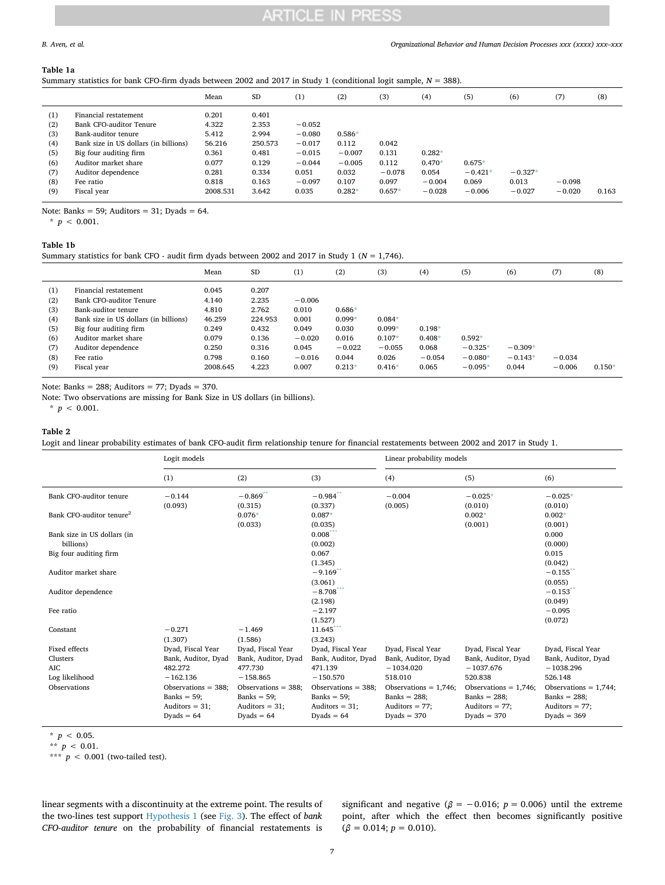#### <span id="page-6-0"></span>**Table 1a**

Summary statistics for bank CFO-firm dyads between 2002 and 2017 in Study 1 (conditional logit sample, *N* = 388).

|                                                             |                                                                                                                                                                                                                      | Mean                                                                              | <b>SD</b>                                                                       | (1)                                                                                    | (2)                                                                     | (3)                                                      | (4)                                                   | (5)                                        | (6)                            | (7)                  | (8)   |
|-------------------------------------------------------------|----------------------------------------------------------------------------------------------------------------------------------------------------------------------------------------------------------------------|-----------------------------------------------------------------------------------|---------------------------------------------------------------------------------|----------------------------------------------------------------------------------------|-------------------------------------------------------------------------|----------------------------------------------------------|-------------------------------------------------------|--------------------------------------------|--------------------------------|----------------------|-------|
| (1)<br>(2)<br>(3)<br>(4)<br>(5)<br>(6)<br>(7)<br>(8)<br>(9) | Financial restatement<br>Bank CFO-auditor Tenure<br>Bank-auditor tenure<br>Bank size in US dollars (in billions)<br>Big four auditing firm<br>Auditor market share<br>Auditor dependence<br>Fee ratio<br>Fiscal year | 0.201<br>4.322<br>5.412<br>56.216<br>0.361<br>0.077<br>0.281<br>0.818<br>2008.531 | 0.401<br>2.353<br>2.994<br>250.573<br>0.481<br>0.129<br>0.334<br>0.163<br>3.642 | $-0.052$<br>$-0.080$<br>$-0.017$<br>$-0.015$<br>$-0.044$<br>0.051<br>$-0.097$<br>0.035 | $0.586*$<br>0.112<br>$-0.007$<br>$-0.005$<br>0.032<br>0.107<br>$0.282*$ | 0.042<br>0.131<br>0.112<br>$-0.078$<br>0.097<br>$0.657*$ | $0.282*$<br>$0.470*$<br>0.054<br>$-0.004$<br>$-0.028$ | $0.675*$<br>$-0.421*$<br>0.069<br>$-0.006$ | $-0.327*$<br>0.013<br>$-0.027$ | $-0.098$<br>$-0.020$ | 0.163 |
|                                                             |                                                                                                                                                                                                                      |                                                                                   |                                                                                 |                                                                                        |                                                                         |                                                          |                                                       |                                            |                                |                      |       |

Note: Banks = 59; Auditors =  $31$ ; Dyads =  $64$ .

<span id="page-6-3"></span> $*$   $p < 0.001$ .

### <span id="page-6-1"></span>**Table 1b**

Summary statistics for bank CFO - audit firm dyads between 2002 and 2017 in Study 1 (*N* = 1,746).

|                                                             |                                                                                                                                                                                                                      | Mean                                                                              | SD                                                                              | (1)                                                                           | (2)                                                                     | (3)                                                               | (4)                                                | (5)                                             | (6)                             | (7)                  | (8)      |
|-------------------------------------------------------------|----------------------------------------------------------------------------------------------------------------------------------------------------------------------------------------------------------------------|-----------------------------------------------------------------------------------|---------------------------------------------------------------------------------|-------------------------------------------------------------------------------|-------------------------------------------------------------------------|-------------------------------------------------------------------|----------------------------------------------------|-------------------------------------------------|---------------------------------|----------------------|----------|
| (1)<br>(2)<br>(3)<br>(4)<br>(5)<br>(6)<br>(7)<br>(8)<br>(9) | Financial restatement<br>Bank CFO-auditor Tenure<br>Bank-auditor tenure<br>Bank size in US dollars (in billions)<br>Big four auditing firm<br>Auditor market share<br>Auditor dependence<br>Fee ratio<br>Fiscal year | 0.045<br>4.140<br>4.810<br>46.259<br>0.249<br>0.079<br>0.250<br>0.798<br>2008.645 | 0.207<br>2.235<br>2.762<br>224.953<br>0.432<br>0.136<br>0.316<br>0.160<br>4.223 | $-0.006$<br>0.010<br>0.001<br>0.049<br>$-0.020$<br>0.045<br>$-0.016$<br>0.007 | $0.686*$<br>$0.099*$<br>0.030<br>0.016<br>$-0.022$<br>0.044<br>$0.213*$ | $0.084*$<br>$0.099*$<br>$0.107*$<br>$-0.055$<br>0.026<br>$0.416*$ | $0.198*$<br>$0.408*$<br>0.068<br>$-0.054$<br>0.065 | $0.592*$<br>$-0.325*$<br>$-0.080*$<br>$-0.095*$ | $-0.309*$<br>$-0.143*$<br>0.044 | $-0.034$<br>$-0.006$ | $0.150*$ |

Note: Banks =  $288$ ; Auditors = 77; Dyads = 370.

Note: Two observations are missing for Bank Size in US dollars (in billions).

<span id="page-6-4"></span> $*$   $p$  < 0.001.

#### <span id="page-6-2"></span>**Table 2**

Logit and linear probability estimates of bank CFO-audit firm relationship tenure for financial restatements between 2002 and 2017 in Study 1.

|                                      | Logit models          |                       |                         | Linear probability models |                          |                          |
|--------------------------------------|-----------------------|-----------------------|-------------------------|---------------------------|--------------------------|--------------------------|
|                                      | (1)                   | (2)                   | (3)                     | (4)                       | (5)                      | (6)                      |
| Bank CFO-auditor tenure              | $-0.144$              | $-0.869$ **           | $-0.984$ **             | $-0.004$                  | $-0.025*$                | $-0.025*$                |
|                                      | (0.093)               | (0.315)               | (0.337)                 | (0.005)                   | (0.010)                  | (0.010)                  |
| Bank CFO-auditor tenure <sup>2</sup> |                       | $0.076*$              | $0.087*$                |                           | $0.002*$                 | $0.002*$                 |
|                                      |                       | (0.033)               | (0.035)                 |                           | (0.001)                  | (0.001)                  |
| Bank size in US dollars (in          |                       |                       | $0.008***$              |                           |                          | 0.000                    |
| billions)                            |                       |                       | (0.002)                 |                           |                          | (0.000)                  |
| Big four auditing firm               |                       |                       | 0.067                   |                           |                          | 0.015                    |
|                                      |                       |                       | (1.345)                 |                           |                          | (0.042)                  |
| Auditor market share                 |                       |                       | $-9.169$ <sup>*</sup>   |                           |                          | $-0.155$                 |
|                                      |                       |                       | (3.061)                 |                           |                          | (0.055)                  |
| Auditor dependence                   |                       |                       | $-8.708$ <sup>***</sup> |                           |                          | $-0.153$                 |
|                                      |                       |                       | (2.198)                 |                           |                          | (0.049)                  |
| Fee ratio                            |                       |                       | $-2.197$                |                           |                          | $-0.095$                 |
|                                      |                       |                       | (1.527)                 |                           |                          | (0.072)                  |
| Constant                             | $-0.271$              | $-1.469$              | 11.645                  |                           |                          |                          |
|                                      | (1.307)               | (1.586)               | (3.243)                 |                           |                          |                          |
| Fixed effects                        | Dyad, Fiscal Year     | Dyad, Fiscal Year     | Dyad, Fiscal Year       | Dyad, Fiscal Year         | Dyad, Fiscal Year        | Dyad, Fiscal Year        |
| Clusters                             | Bank, Auditor, Dyad   | Bank, Auditor, Dyad   | Bank, Auditor, Dyad     | Bank, Auditor, Dyad       | Bank, Auditor, Dyad      | Bank, Auditor, Dyad      |
| <b>AIC</b>                           | 482.272               | 477.730               | 471.139                 | $-1034.020$               | $-1037.676$              | $-1038.296$              |
| Log likelihood                       | $-162.136$            | $-158.865$            | $-150.570$              | 518.010                   | 520.838                  | 526.148                  |
| Observations                         | Observations $=$ 388; | Observations $=$ 388; | Observations $=$ 388;   | Observations = $1,746$ ;  | Observations = $1,746$ ; | Observations = $1,744$ ; |
|                                      | Banks $= 59$ ;        | Banks = $59$ ;        | Banks = $59$ ;          | Banks = $288$ ;           | Banks = $288$ ;          | Banks = $288$ ;          |
|                                      | Auditors $= 31$ ;     | Auditors $= 31$ ;     | Auditors $= 31$ ;       | Auditors $= 77$ ;         | Auditors $= 77$ ;        | Auditors $= 77$ ;        |
|                                      | Dyads = $64$          | Dyads = $64$          | Dyads = $64$            | $Dvads = 370$             | $Dvads = 370$            | $Dvads = 369$            |
|                                      |                       |                       |                         |                           |                          |                          |

<span id="page-6-6"></span> $*$   $p$  < 0.05.

<span id="page-6-5"></span>\*\*  $p < 0.01$ .

<span id="page-6-7"></span>\*\*\* *p* < 0.001 (two-tailed test).

linear segments with a discontinuity at the extreme point. The results of the two-lines test support [Hypothesis 1](#page-2-2) (see [Fig. 3\)](#page-7-1). The effect of *bank CFO-auditor tenure* on the probability of financial restatements is significant and negative ( $\beta$  = -0.016; *p* = 0.006) until the extreme point, after which the effect then becomes significantly positive  $(\beta = 0.014; p = 0.010).$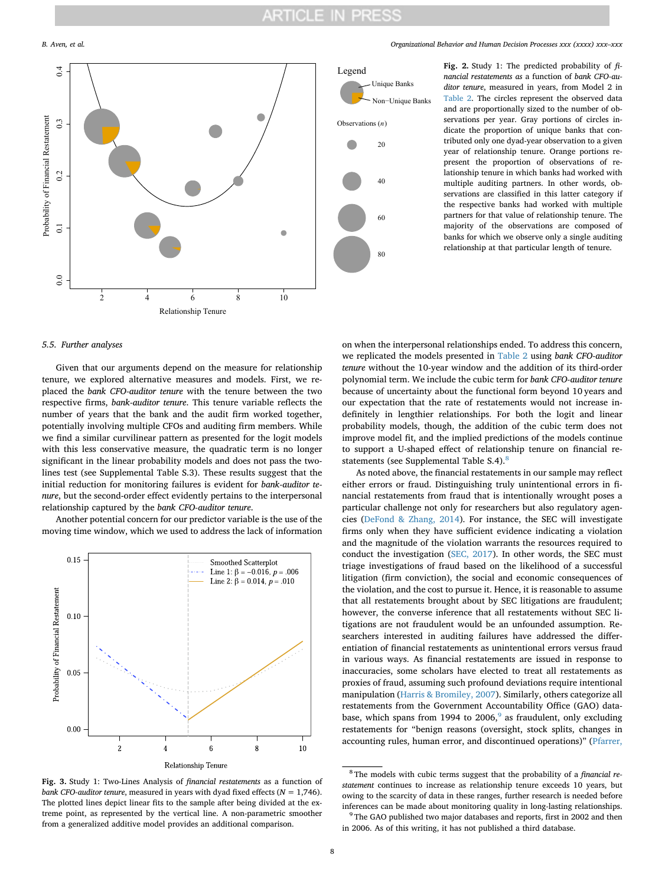<span id="page-7-0"></span>

#### *B. Aven, et al. Organizational Behavior and Human Decision Processes xxx (xxxx) xxx–xxx*



**Fig. 2.** Study 1: The predicted probability of *financial restatements as* a function of *bank CFO-auditor tenure*, measured in years, from Model 2 in [Table 2](#page-6-2). The circles represent the observed data and are proportionally sized to the number of observations per year. Gray portions of circles indicate the proportion of unique banks that contributed only one dyad-year observation to a given year of relationship tenure. Orange portions represent the proportion of observations of relationship tenure in which banks had worked with multiple auditing partners. In other words, observations are classified in this latter category if the respective banks had worked with multiple partners for that value of relationship tenure. The majority of the observations are composed of banks for which we observe only a single auditing relationship at that particular length of tenure.

#### *5.5. Further analyses*

Given that our arguments depend on the measure for relationship tenure, we explored alternative measures and models. First, we replaced the *bank CFO-auditor tenure* with the tenure between the two respective firms, *bank-auditor tenure*. This tenure variable reflects the number of years that the bank and the audit firm worked together, potentially involving multiple CFOs and auditing firm members. While we find a similar curvilinear pattern as presented for the logit models with this less conservative measure, the quadratic term is no longer significant in the linear probability models and does not pass the twolines test (see Supplemental Table S.3). These results suggest that the initial reduction for monitoring failures is evident for *bank-auditor tenure*, but the second-order effect evidently pertains to the interpersonal relationship captured by the *bank CFO-auditor tenure*.

Another potential concern for our predictor variable is the use of the moving time window, which we used to address the lack of information

<span id="page-7-1"></span>

**Fig. 3.** Study 1: Two-Lines Analysis of *financial restatements* as a function of *bank CFO-auditor tenure*, measured in years with dyad fixed effects (*N* = 1,746). The plotted lines depict linear fits to the sample after being divided at the extreme point, as represented by the vertical line. A non-parametric smoother from a generalized additive model provides an additional comparison.

on when the interpersonal relationships ended. To address this concern, we replicated the models presented in [Table 2](#page-6-2) using *bank CFO-auditor tenure* without the 10-year window and the addition of its third-order polynomial term. We include the cubic term for *bank CFO-auditor tenure* because of uncertainty about the functional form beyond 10 years and our expectation that the rate of restatements would not increase indefinitely in lengthier relationships. For both the logit and linear probability models, though, the addition of the cubic term does not improve model fit, and the implied predictions of the models continue to support a U-shaped effect of relationship tenure on financial re-statements (see Supplemental Table S.4).<sup>[8](#page-7-2)</sup>

As noted above, the financial restatements in our sample may reflect either errors or fraud. Distinguishing truly unintentional errors in financial restatements from fraud that is intentionally wrought poses a particular challenge not only for researchers but also regulatory agencies [\(DeFond & Zhang, 2014\)](#page-13-22). For instance, the SEC will investigate firms only when they have sufficient evidence indicating a violation and the magnitude of the violation warrants the resources required to conduct the investigation [\(SEC, 2017](#page-14-10)). In other words, the SEC must triage investigations of fraud based on the likelihood of a successful litigation (firm conviction), the social and economic consequences of the violation, and the cost to pursue it. Hence, it is reasonable to assume that all restatements brought about by SEC litigations are fraudulent; however, the converse inference that all restatements without SEC litigations are not fraudulent would be an unfounded assumption. Researchers interested in auditing failures have addressed the differentiation of financial restatements as unintentional errors versus fraud in various ways. As financial restatements are issued in response to inaccuracies, some scholars have elected to treat all restatements as proxies of fraud, assuming such profound deviations require intentional manipulation ([Harris & Bromiley, 2007\)](#page-13-36). Similarly, others categorize all restatements from the Government Accountability Office (GAO) data-base, which spans from 1[9](#page-7-3)94 to 2006, $9$  as fraudulent, only excluding restatements for "benign reasons (oversight, stock splits, changes in accounting rules, human error, and discontinued operations)" ([Pfarrer,](#page-14-13)

<span id="page-7-2"></span><sup>8</sup> The models with cubic terms suggest that the probability of a *financial restatement* continues to increase as relationship tenure exceeds 10 years, but owing to the scarcity of data in these ranges, further research is needed before inferences can be made about monitoring quality in long-lasting relationships.

<span id="page-7-3"></span> $9$  The GAO published two major databases and reports, first in 2002 and then in 2006. As of this writing, it has not published a third database.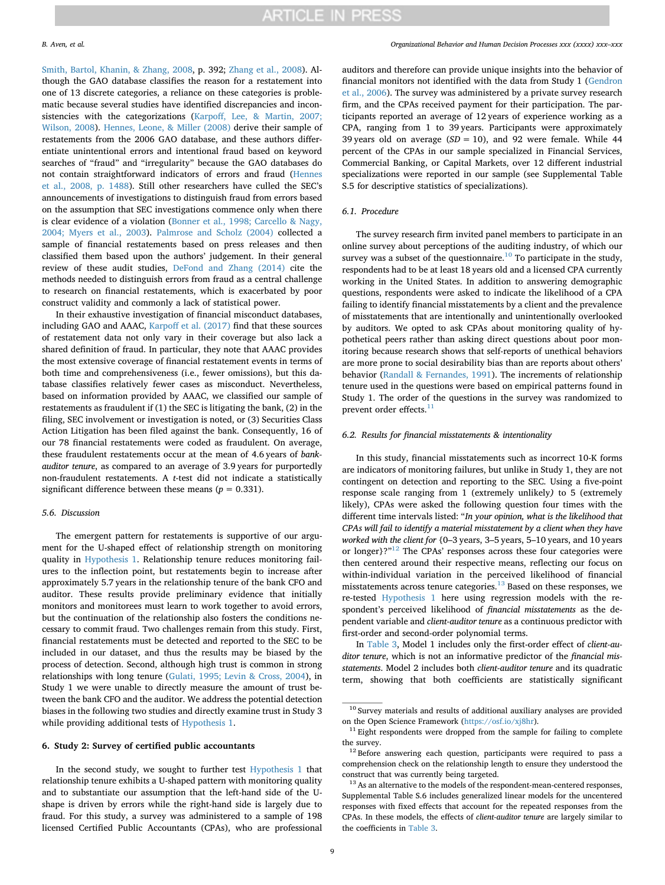[Smith, Bartol, Khanin, & Zhang, 2008,](#page-14-13) p. 392; [Zhang et al., 2008](#page-14-14)). Although the GAO database classifies the reason for a restatement into one of 13 discrete categories, a reliance on these categories is problematic because several studies have identified discrepancies and inconsistencies with the categorizations [\(Karpoff, Lee, & Martin, 2007;](#page-13-37) [Wilson, 2008\)](#page-13-37). [Hennes, Leone, & Miller \(2008\)](#page-13-38) derive their sample of restatements from the 2006 GAO database, and these authors differentiate unintentional errors and intentional fraud based on keyword searches of "fraud" and "irregularity" because the GAO databases do not contain straightforward indicators of errors and fraud ([Hennes](#page-13-38) [et al., 2008, p. 1488](#page-13-38)). Still other researchers have culled the SEC's announcements of investigations to distinguish fraud from errors based on the assumption that SEC investigations commence only when there is clear evidence of a violation ([Bonner et al., 1998; Carcello & Nagy,](#page-13-24) [2004; Myers et al., 2003](#page-13-24)). [Palmrose and Scholz \(2004\)](#page-13-39) collected a sample of financial restatements based on press releases and then classified them based upon the authors' judgement. In their general review of these audit studies, [DeFond and Zhang \(2014\)](#page-13-22) cite the methods needed to distinguish errors from fraud as a central challenge to research on financial restatements, which is exacerbated by poor construct validity and commonly a lack of statistical power.

In their exhaustive investigation of financial misconduct databases, including GAO and AAAC, [Karpoff et al. \(2017\)](#page-13-28) find that these sources of restatement data not only vary in their coverage but also lack a shared definition of fraud. In particular, they note that AAAC provides the most extensive coverage of financial restatement events in terms of both time and comprehensiveness (i.e., fewer omissions), but this database classifies relatively fewer cases as misconduct. Nevertheless, based on information provided by AAAC, we classified our sample of restatements as fraudulent if (1) the SEC is litigating the bank, (2) in the filing, SEC involvement or investigation is noted, or (3) Securities Class Action Litigation has been filed against the bank. Consequently, 16 of our 78 financial restatements were coded as fraudulent. On average, these fraudulent restatements occur at the mean of 4.6 years of *bankauditor tenure*, as compared to an average of 3.9 years for purportedly non-fraudulent restatements. A *t*-test did not indicate a statistically significant difference between these means ( $p = 0.331$ ).

#### *5.6. Discussion*

The emergent pattern for restatements is supportive of our argument for the U-shaped effect of relationship strength on monitoring quality in [Hypothesis 1.](#page-2-2) Relationship tenure reduces monitoring failures to the inflection point, but restatements begin to increase after approximately 5.7 years in the relationship tenure of the bank CFO and auditor. These results provide preliminary evidence that initially monitors and monitorees must learn to work together to avoid errors, but the continuation of the relationship also fosters the conditions necessary to commit fraud. Two challenges remain from this study. First, financial restatements must be detected and reported to the SEC to be included in our dataset, and thus the results may be biased by the process of detection. Second, although high trust is common in strong relationships with long tenure [\(Gulati, 1995; Levin & Cross, 2004\)](#page-13-40), in Study 1 we were unable to directly measure the amount of trust between the bank CFO and the auditor. We address the potential detection biases in the following two studies and directly examine trust in Study 3 while providing additional tests of [Hypothesis 1](#page-2-2).

### **6. Study 2: Survey of certified public accountants**

In the second study, we sought to further test [Hypothesis 1](#page-2-2) that relationship tenure exhibits a U-shaped pattern with monitoring quality and to substantiate our assumption that the left-hand side of the Ushape is driven by errors while the right-hand side is largely due to fraud. For this study, a survey was administered to a sample of 198 licensed Certified Public Accountants (CPAs), who are professional

auditors and therefore can provide unique insights into the behavior of financial monitors not identified with the data from Study 1 [\(Gendron](#page-13-23) [et al., 2006](#page-13-23)). The survey was administered by a private survey research firm, and the CPAs received payment for their participation. The participants reported an average of 12 years of experience working as a CPA, ranging from 1 to 39 years. Participants were approximately 39 years old on average (*SD =* 10), and 92 were female. While 44 percent of the CPAs in our sample specialized in Financial Services, Commercial Banking, or Capital Markets, over 12 different industrial specializations were reported in our sample (see Supplemental Table S.5 for descriptive statistics of specializations).

#### *6.1. Procedure*

The survey research firm invited panel members to participate in an online survey about perceptions of the auditing industry, of which our survey was a subset of the questionnaire.<sup>10</sup> To participate in the study, respondents had to be at least 18 years old and a licensed CPA currently working in the United States. In addition to answering demographic questions, respondents were asked to indicate the likelihood of a CPA failing to identify financial misstatements by a client and the prevalence of misstatements that are intentionally and unintentionally overlooked by auditors. We opted to ask CPAs about monitoring quality of hypothetical peers rather than asking direct questions about poor monitoring because research shows that self-reports of unethical behaviors are more prone to social desirability bias than are reports about others' behavior [\(Randall & Fernandes, 1991](#page-14-15)). The increments of relationship tenure used in the questions were based on empirical patterns found in Study 1. The order of the questions in the survey was randomized to prevent order effects.<sup>[11](#page-8-1)</sup>

#### *6.2. Results for financial misstatements & intentionality*

In this study, financial misstatements such as incorrect 10-K forms are indicators of monitoring failures, but unlike in Study 1, they are not contingent on detection and reporting to the SEC. Using a five-point response scale ranging from 1 (extremely unlikely*)* to 5 (extremely likely), CPAs were asked the following question four times with the different time intervals listed: "*In your opinion, what is the likelihood that CPAs will fail to identify a material misstatement by a client when they have worked with the client for* {0–3 years, 3–5 years, 5–10 years, and 10 years or longer}?"<sup>12</sup> The CPAs' responses across these four categories were then centered around their respective means, reflecting our focus on within-individual variation in the perceived likelihood of financial misstatements across tenure categories.<sup>[13](#page-8-3)</sup> Based on these responses, we re-tested [Hypothesis 1](#page-2-2) here using regression models with the respondent's perceived likelihood of *financial misstatements* as the dependent variable and *client-auditor tenure* as a continuous predictor with first-order and second-order polynomial terms.

In [Table 3,](#page-9-0) Model 1 includes only the first-order effect of *client-auditor tenure*, which is not an informative predictor of the *financial misstatements*. Model 2 includes both *client-auditor tenure* and its quadratic term, showing that both coefficients are statistically significant

<span id="page-8-0"></span> $^{10}$  Survey materials and results of additional auxiliary analyses are provided on the Open Science Framework (<https://osf.io/xj8hr>).

<span id="page-8-1"></span> $11$  Eight respondents were dropped from the sample for failing to complete the survey.

<span id="page-8-2"></span> $12$  Before answering each question, participants were required to pass a comprehension check on the relationship length to ensure they understood the construct that was currently being targeted.

<span id="page-8-3"></span><sup>&</sup>lt;sup>13</sup> As an alternative to the models of the respondent-mean-centered responses, Supplemental Table S.6 includes generalized linear models for the uncentered responses with fixed effects that account for the repeated responses from the CPAs. In these models, the effects of *client-auditor tenure* are largely similar to the coefficients in [Table 3](#page-9-0).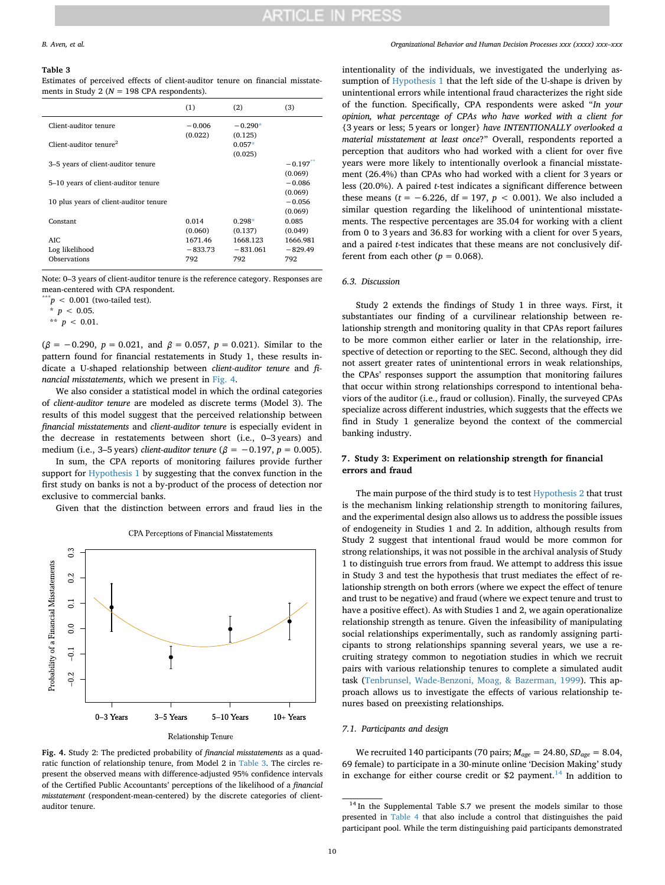#### <span id="page-9-0"></span>**Table 3**

Estimates of perceived effects of client-auditor tenure on financial misstatements in Study 2 ( $N = 198$  CPA respondents).

|                                        | (1)              | (2)                            | (3)                            |
|----------------------------------------|------------------|--------------------------------|--------------------------------|
| Client-auditor tenure                  | $-0.006$         | $-0.290*$                      |                                |
| Client-auditor tenure <sup>2</sup>     | (0.022)          | (0.125)<br>$0.057*$<br>(0.025) |                                |
| 3-5 years of client-auditor tenure     |                  |                                | $-0.197$ <sup>**</sup>         |
| 5-10 years of client-auditor tenure    |                  |                                | (0.069)<br>$-0.086$            |
| 10 plus years of client-auditor tenure |                  |                                | (0.069)<br>$-0.056$<br>(0.069) |
| Constant                               | 0.014<br>(0.060) | $0.298*$<br>(0.137)            | 0.085<br>(0.049)               |
| AIC.                                   | 1671.46          | 1668.123                       | 1666.981                       |
| Log likelihood                         | $-833.73$        | $-831.061$                     | $-829.49$                      |
| Observations                           | 792              | 792                            | 792                            |

Note: 0–3 years of client-auditor tenure is the reference category. Responses are mean-centered with CPA respondent.

 $p < 0.001$  (two-tailed test).

<span id="page-9-3"></span> $*$   $p$  < 0.05.

<span id="page-9-4"></span>\*\*  $p < 0.01$ .

 $(\beta = -0.290, p = 0.021, \text{ and } \beta = 0.057, p = 0.021)$ . Similar to the pattern found for financial restatements in Study 1, these results indicate a U-shaped relationship between *client-auditor tenure* and *financial misstatements*, which we present in [Fig. 4.](#page-9-1)

We also consider a statistical model in which the ordinal categories of *client-auditor tenure* are modeled as discrete terms (Model 3). The results of this model suggest that the perceived relationship between *financial misstatements* and *client-auditor tenure* is especially evident in the decrease in restatements between short (i.e., 0–3 years) and medium (i.e., 3–5 years) *client-auditor tenure* ( $\beta$  = −0.197, *p* = 0.005).

In sum, the CPA reports of monitoring failures provide further support for [Hypothesis 1](#page-2-2) by suggesting that the convex function in the first study on banks is not a by-product of the process of detection nor exclusive to commercial banks.

Given that the distinction between errors and fraud lies in the

<span id="page-9-1"></span>

CPA Perceptions of Financial Misstatements

**Fig. 4.** Study 2: The predicted probability of *financial misstatements* as a quadratic function of relationship tenure, from Model 2 in [Table 3](#page-9-0). The circles represent the observed means with difference-adjusted 95% confidence intervals of the Certified Public Accountants' perceptions of the likelihood of a *financial misstatement* (respondent-mean-centered) by the discrete categories of clientauditor tenure.  $14$  In the Supplemental Table S.7 we present the models similar to those

*B. Aven, et al. Organizational Behavior and Human Decision Processes xxx (xxxx) xxx–xxx*

intentionality of the individuals, we investigated the underlying as-sumption of [Hypothesis 1](#page-2-2) that the left side of the U-shape is driven by unintentional errors while intentional fraud characterizes the right side of the function. Specifically, CPA respondents were asked "*In your opinion, what percentage of CPAs who have worked with a client for* {3 years or less; 5 years or longer} *have INTENTIONALLY overlooked a material misstatement at least once*?" Overall, respondents reported a perception that auditors who had worked with a client for over five years were more likely to intentionally overlook a financial misstatement (26.4%) than CPAs who had worked with a client for 3 years or less (20.0%). A paired *t*-test indicates a significant difference between these means ( $t = -6.226$ , df = 197,  $p < 0.001$ ). We also included a similar question regarding the likelihood of unintentional misstatements. The respective percentages are 35.04 for working with a client from 0 to 3 years and 36.83 for working with a client for over 5 years, and a paired *t*-test indicates that these means are not conclusively different from each other  $(p = 0.068)$ .

#### *6.3. Discussion*

Study 2 extends the findings of Study 1 in three ways. First, it substantiates our finding of a curvilinear relationship between relationship strength and monitoring quality in that CPAs report failures to be more common either earlier or later in the relationship, irrespective of detection or reporting to the SEC. Second, although they did not assert greater rates of unintentional errors in weak relationships, the CPAs' responses support the assumption that monitoring failures that occur within strong relationships correspond to intentional behaviors of the auditor (i.e., fraud or collusion). Finally, the surveyed CPAs specialize across different industries, which suggests that the effects we find in Study 1 generalize beyond the context of the commercial banking industry.

### **7. Study 3: Experiment on relationship strength for financial errors and fraud**

The main purpose of the third study is to test [Hypothesis 2](#page-2-3) that trust is the mechanism linking relationship strength to monitoring failures, and the experimental design also allows us to address the possible issues of endogeneity in Studies 1 and 2. In addition, although results from Study 2 suggest that intentional fraud would be more common for strong relationships, it was not possible in the archival analysis of Study 1 to distinguish true errors from fraud. We attempt to address this issue in Study 3 and test the hypothesis that trust mediates the effect of relationship strength on both errors (where we expect the effect of tenure and trust to be negative) and fraud (where we expect tenure and trust to have a positive effect). As with Studies 1 and 2, we again operationalize relationship strength as tenure. Given the infeasibility of manipulating social relationships experimentally, such as randomly assigning participants to strong relationships spanning several years, we use a recruiting strategy common to negotiation studies in which we recruit pairs with various relationship tenures to complete a simulated audit task ([Tenbrunsel, Wade-Benzoni, Moag, & Bazerman, 1999\)](#page-14-16). This approach allows us to investigate the effects of various relationship tenures based on preexisting relationships.

#### *7.1. Participants and design*

We recruited 140 participants (70 pairs; *Mage* = 24.80, *SDage =* 8.04, 69 female) to participate in a 30-minute online 'Decision Making' study in exchange for either course credit or \$2 payment.<sup>[14](#page-9-2)</sup> In addition to

<span id="page-9-2"></span>presented in [Table 4](#page-11-0) that also include a control that distinguishes the paid participant pool. While the term distinguishing paid participants demonstrated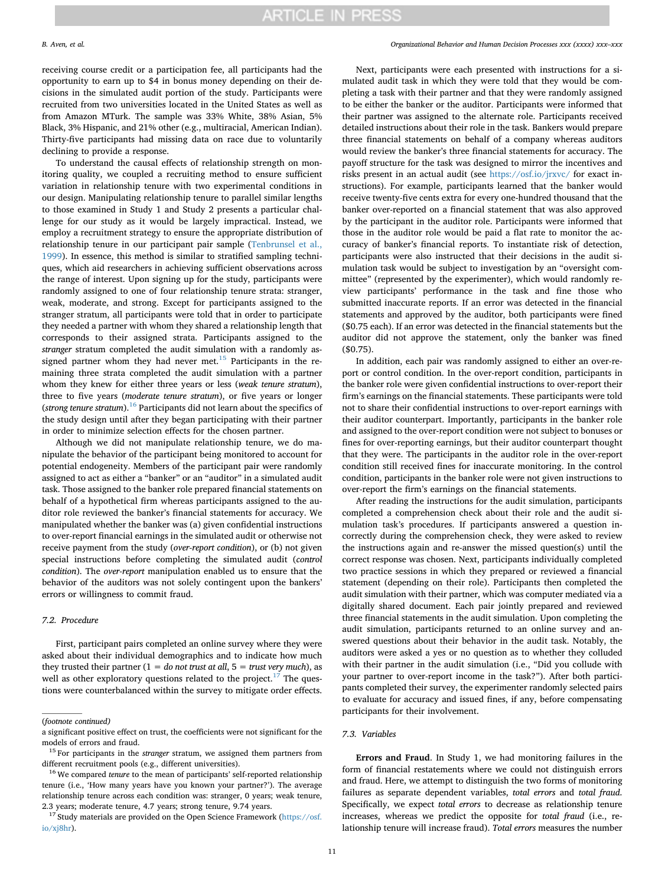*B. Aven, et al. Organizational Behavior and Human Decision Processes xxx (xxxx) xxx–xxx*

receiving course credit or a participation fee, all participants had the opportunity to earn up to \$4 in bonus money depending on their decisions in the simulated audit portion of the study. Participants were recruited from two universities located in the United States as well as from Amazon MTurk. The sample was 33% White, 38% Asian, 5% Black, 3% Hispanic, and 21% other (e.g., multiracial, American Indian). Thirty-five participants had missing data on race due to voluntarily declining to provide a response.

To understand the causal effects of relationship strength on monitoring quality, we coupled a recruiting method to ensure sufficient variation in relationship tenure with two experimental conditions in our design. Manipulating relationship tenure to parallel similar lengths to those examined in Study 1 and Study 2 presents a particular challenge for our study as it would be largely impractical. Instead, we employ a recruitment strategy to ensure the appropriate distribution of relationship tenure in our participant pair sample [\(Tenbrunsel et al.,](#page-14-16) [1999\)](#page-14-16). In essence, this method is similar to stratified sampling techniques, which aid researchers in achieving sufficient observations across the range of interest. Upon signing up for the study, participants were randomly assigned to one of four relationship tenure strata: stranger, weak, moderate, and strong. Except for participants assigned to the stranger stratum, all participants were told that in order to participate they needed a partner with whom they shared a relationship length that corresponds to their assigned strata. Participants assigned to the *stranger* stratum completed the audit simulation with a randomly assigned partner whom they had never met. $15$  Participants in the remaining three strata completed the audit simulation with a partner whom they knew for either three years or less (*weak tenure stratum*), three to five years (*moderate tenure stratum*), or five years or longer (*strong tenure stratum*).[16](#page-10-1) Participants did not learn about the specifics of the study design until after they began participating with their partner in order to minimize selection effects for the chosen partner.

Although we did not manipulate relationship tenure, we do manipulate the behavior of the participant being monitored to account for potential endogeneity. Members of the participant pair were randomly assigned to act as either a "banker" or an "auditor" in a simulated audit task. Those assigned to the banker role prepared financial statements on behalf of a hypothetical firm whereas participants assigned to the auditor role reviewed the banker's financial statements for accuracy. We manipulated whether the banker was (a) given confidential instructions to over-report financial earnings in the simulated audit or otherwise not receive payment from the study (*over-report condition*), or (b) not given special instructions before completing the simulated audit (*control condition*). The *over-report* manipulation enabled us to ensure that the behavior of the auditors was not solely contingent upon the bankers' errors or willingness to commit fraud.

### *7.2. Procedure*

First, participant pairs completed an online survey where they were asked about their individual demographics and to indicate how much they trusted their partner  $(1 = do not trust at all, 5 = trust very much)$ , as well as other exploratory questions related to the project.<sup>17</sup> The questions were counterbalanced within the survey to mitigate order effects.

<span id="page-10-2"></span> $17$  Study materials are provided on the Open Science Framework ([https://osf.](https://osf.io/xj8hr) [io/xj8hr\)](https://osf.io/xj8hr).

Next, participants were each presented with instructions for a simulated audit task in which they were told that they would be completing a task with their partner and that they were randomly assigned to be either the banker or the auditor. Participants were informed that their partner was assigned to the alternate role. Participants received detailed instructions about their role in the task. Bankers would prepare three financial statements on behalf of a company whereas auditors would review the banker's three financial statements for accuracy. The payoff structure for the task was designed to mirror the incentives and risks present in an actual audit (see <https://osf.io/jrxvc/> for exact instructions). For example, participants learned that the banker would receive twenty-five cents extra for every one-hundred thousand that the banker over-reported on a financial statement that was also approved by the participant in the auditor role. Participants were informed that those in the auditor role would be paid a flat rate to monitor the accuracy of banker's financial reports. To instantiate risk of detection, participants were also instructed that their decisions in the audit simulation task would be subject to investigation by an "oversight committee" (represented by the experimenter), which would randomly review participants' performance in the task and fine those who submitted inaccurate reports. If an error was detected in the financial statements and approved by the auditor, both participants were fined (\$0.75 each). If an error was detected in the financial statements but the auditor did not approve the statement, only the banker was fined (\$0.75).

In addition, each pair was randomly assigned to either an over-report or control condition. In the over-report condition, participants in the banker role were given confidential instructions to over-report their firm's earnings on the financial statements. These participants were told not to share their confidential instructions to over-report earnings with their auditor counterpart. Importantly, participants in the banker role and assigned to the over-report condition were not subject to bonuses or fines for over-reporting earnings, but their auditor counterpart thought that they were. The participants in the auditor role in the over-report condition still received fines for inaccurate monitoring. In the control condition, participants in the banker role were not given instructions to over-report the firm's earnings on the financial statements.

After reading the instructions for the audit simulation, participants completed a comprehension check about their role and the audit simulation task's procedures. If participants answered a question incorrectly during the comprehension check, they were asked to review the instructions again and re-answer the missed question(s) until the correct response was chosen. Next, participants individually completed two practice sessions in which they prepared or reviewed a financial statement (depending on their role). Participants then completed the audit simulation with their partner, which was computer mediated via a digitally shared document. Each pair jointly prepared and reviewed three financial statements in the audit simulation. Upon completing the audit simulation, participants returned to an online survey and answered questions about their behavior in the audit task. Notably, the auditors were asked a yes or no question as to whether they colluded with their partner in the audit simulation (i.e., "Did you collude with your partner to over-report income in the task?"). After both participants completed their survey, the experimenter randomly selected pairs to evaluate for accuracy and issued fines, if any, before compensating participants for their involvement.

### *7.3. Variables*

**Errors and Fraud**. In Study 1, we had monitoring failures in the form of financial restatements where we could not distinguish errors and fraud. Here, we attempt to distinguish the two forms of monitoring failures as separate dependent variables, *total errors* and *total fraud*. Specifically, we expect *total errors* to decrease as relationship tenure increases, whereas we predict the opposite for *total fraud* (i.e., relationship tenure will increase fraud). *Total errors* measures the number

<sup>(</sup>*footnote continued)*

a significant positive effect on trust, the coefficients were not significant for the models of errors and fraud.

<span id="page-10-0"></span><sup>15</sup> For participants in the *stranger* stratum, we assigned them partners from different recruitment pools (e.g., different universities).

<span id="page-10-1"></span><sup>&</sup>lt;sup>16</sup> We compared *tenure* to the mean of participants' self-reported relationship tenure (i.e., 'How many years have you known your partner?'). The average relationship tenure across each condition was: stranger, 0 years; weak tenure, 2.3 years; moderate tenure, 4.7 years; strong tenure, 9.74 years.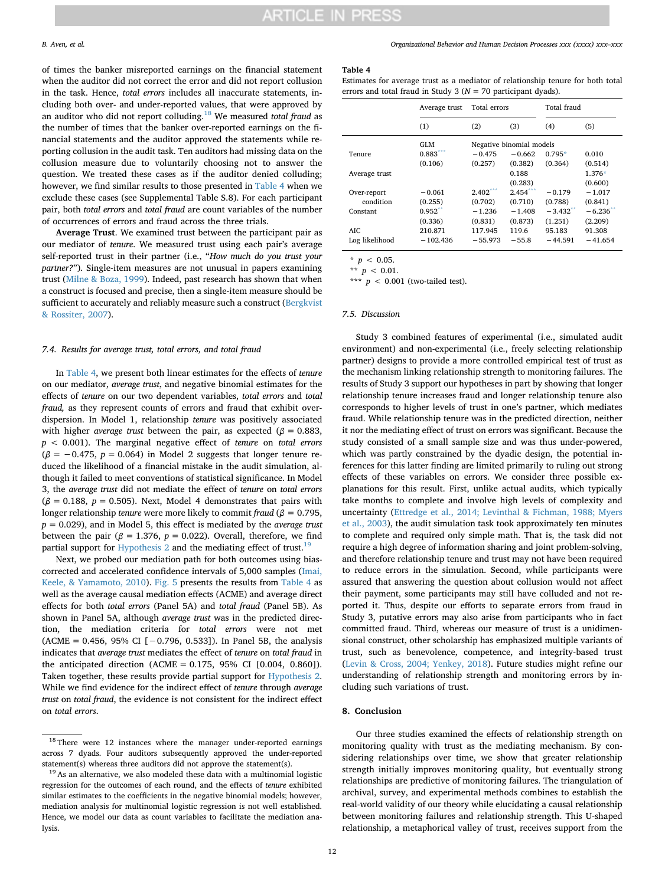#### *B. Aven, et al. Organizational Behavior and Human Decision Processes xxx (xxxx) xxx–xxx*

of times the banker misreported earnings on the financial statement when the auditor did not correct the error and did not report collusion in the task. Hence, *total errors* includes all inaccurate statements, including both over- and under-reported values, that were approved by an auditor who did not report colluding.[18](#page-11-1) We measured *total fraud* as the number of times that the banker over-reported earnings on the financial statements and the auditor approved the statements while reporting collusion in the audit task. Ten auditors had missing data on the collusion measure due to voluntarily choosing not to answer the question. We treated these cases as if the auditor denied colluding; however, we find similar results to those presented in [Table 4](#page-11-0) when we exclude these cases (see Supplemental Table S.8). For each participant pair, both *total errors* and *total fraud* are count variables of the number of occurrences of errors and fraud across the three trials.

**Average Trust**. We examined trust between the participant pair as our mediator of *tenure*. We measured trust using each pair's average self-reported trust in their partner (i.e., "*How much do you trust your partner?*"). Single-item measures are not unusual in papers examining trust [\(Milne & Boza, 1999](#page-13-41)). Indeed, past research has shown that when a construct is focused and precise, then a single-item measure should be sufficient to accurately and reliably measure such a construct ([Bergkvist](#page-13-42) [& Rossiter, 2007\)](#page-13-42).

#### *7.4. Results for average trust, total errors, and total fraud*

In [Table 4,](#page-11-0) we present both linear estimates for the effects of *tenure* on our mediator, *average trust*, and negative binomial estimates for the effects of *tenure* on our two dependent variables, *total errors* and *total fraud,* as they represent counts of errors and fraud that exhibit overdispersion. In Model 1, relationship *tenure* was positively associated with higher *average trust* between the pair, as expected ( $\beta$  = 0.883, *p* < 0.001). The marginal negative effect of *tenure* on *total errors*  $(\beta = -0.475, p = 0.064)$  in Model 2 suggests that longer tenure reduced the likelihood of a financial mistake in the audit simulation, although it failed to meet conventions of statistical significance. In Model 3, the *average trust* did not mediate the effect of *tenure* on *total errors*  $(\beta = 0.188, p = 0.505)$ . Next, Model 4 demonstrates that pairs with longer relationship *tenure* were more likely to commit *fraud* ( $\beta$  = 0.795, *p* = 0.029), and in Model 5, this effect is mediated by the *average trust* between the pair ( $\beta = 1.376$ ,  $p = 0.022$ ). Overall, therefore, we find partial support for [Hypothesis 2](#page-2-3) and the mediating effect of trust.<sup>[19](#page-11-2)</sup>

Next, we probed our mediation path for both outcomes using biascorrected and accelerated confidence intervals of 5,000 samples ([Imai,](#page-13-43) [Keele, & Yamamoto, 2010\)](#page-13-43). [Fig. 5](#page-12-0) presents the results from [Table 4](#page-11-0) as well as the average causal mediation effects (ACME) and average direct effects for both *total errors* (Panel 5A) and *total fraud* (Panel 5B). As shown in Panel 5A, although *average trust* was in the predicted direction, the mediation criteria for *total errors* were not met  $(ACME = 0.456, 95% CI [-0.796, 0.533]).$  In Panel 5B, the analysis indicates that *average trust* mediates the effect of *tenure* on *total fraud* in the anticipated direction (ACME = 0.175, 95% CI [0.004, 0.860]). Taken together, these results provide partial support for [Hypothesis 2](#page-2-3). While we find evidence for the indirect effect of *tenure* through *average trust* on *total fraud*, the evidence is not consistent for the indirect effect on *total errors*.

#### <span id="page-11-0"></span>**Table 4**

Estimates for average trust as a mediator of relationship tenure for both total errors and total fraud in Study 3 (*N* = 70 participant dyads).

|                | Average trust | Total errors             |            | Total fraud |             |  |
|----------------|---------------|--------------------------|------------|-------------|-------------|--|
|                | (1)           | (2)                      | (3)        | (4)         | (5)         |  |
|                | GLM           | Negative binomial models |            |             |             |  |
| Tenure         | $0.883***$    | $-0.475$                 | $-0.662$   | $0.795*$    | 0.010       |  |
|                | (0.106)       | (0.257)                  | (0.382)    | (0.364)     | (0.514)     |  |
| Average trust  |               |                          | 0.188      |             | $1.376*$    |  |
|                |               |                          | (0.283)    |             | (0.600)     |  |
| Over-report    | $-0.061$      | $2.402***$               | $2.454***$ | $-0.179$    | $-1.017$    |  |
| condition      | (0.255)       | (0.702)                  | (0.710)    | (0.788)     | (0.841)     |  |
| Constant       | $0.952$ **    | $-1.236$                 | $-1.408$   | $-3.432$ ** | $-6.236$ ** |  |
|                | (0.336)       | (0.831)                  | (0.873)    | (1.251)     | (2.209)     |  |
| AIC.           | 210.871       | 117.945                  | 119.6      | 95.183      | 91.308      |  |
| Log likelihood | $-102.436$    | $-55.973$                | $-55.8$    | $-44.591$   | $-41.654$   |  |

<span id="page-11-4"></span> $*$  *p* < 0.05.

<span id="page-11-5"></span> $^{\star\star}$  *p* < 0.01.

<span id="page-11-3"></span>\*\*\*  $p < 0.001$  (two-tailed test).

#### *7.5. Discussion*

Study 3 combined features of experimental (i.e., simulated audit environment) and non-experimental (i.e., freely selecting relationship partner) designs to provide a more controlled empirical test of trust as the mechanism linking relationship strength to monitoring failures. The results of Study 3 support our hypotheses in part by showing that longer relationship tenure increases fraud and longer relationship tenure also corresponds to higher levels of trust in one's partner, which mediates fraud. While relationship tenure was in the predicted direction, neither it nor the mediating effect of trust on errors was significant. Because the study consisted of a small sample size and was thus under-powered, which was partly constrained by the dyadic design, the potential inferences for this latter finding are limited primarily to ruling out strong effects of these variables on errors. We consider three possible explanations for this result. First, unlike actual audits, which typically take months to complete and involve high levels of complexity and uncertainty [\(Ettredge et al., 2014; Levinthal & Fichman, 1988; Myers](#page-13-33) [et al., 2003\)](#page-13-33), the audit simulation task took approximately ten minutes to complete and required only simple math. That is, the task did not require a high degree of information sharing and joint problem-solving, and therefore relationship tenure and trust may not have been required to reduce errors in the simulation. Second, while participants were assured that answering the question about collusion would not affect their payment, some participants may still have colluded and not reported it. Thus, despite our efforts to separate errors from fraud in Study 3, putative errors may also arise from participants who in fact committed fraud. Third, whereas our measure of trust is a unidimensional construct, other scholarship has emphasized multiple variants of trust, such as benevolence, competence, and integrity-based trust ([Levin & Cross, 2004; Yenkey, 2018\)](#page-13-19). Future studies might refine our understanding of relationship strength and monitoring errors by including such variations of trust.

#### **8. Conclusion**

Our three studies examined the effects of relationship strength on monitoring quality with trust as the mediating mechanism. By considering relationships over time, we show that greater relationship strength initially improves monitoring quality, but eventually strong relationships are predictive of monitoring failures. The triangulation of archival, survey, and experimental methods combines to establish the real-world validity of our theory while elucidating a causal relationship between monitoring failures and relationship strength. This U-shaped relationship, a metaphorical valley of trust, receives support from the

<span id="page-11-1"></span><sup>&</sup>lt;sup>18</sup> There were 12 instances where the manager under-reported earnings across 7 dyads. Four auditors subsequently approved the under-reported statement(s) whereas three auditors did not approve the statement(s).

<span id="page-11-2"></span><sup>&</sup>lt;sup>19</sup> As an alternative, we also modeled these data with a multinomial logistic regression for the outcomes of each round, and the effects of *tenure* exhibited similar estimates to the coefficients in the negative binomial models; however, mediation analysis for multinomial logistic regression is not well established. Hence, we model our data as count variables to facilitate the mediation analysis.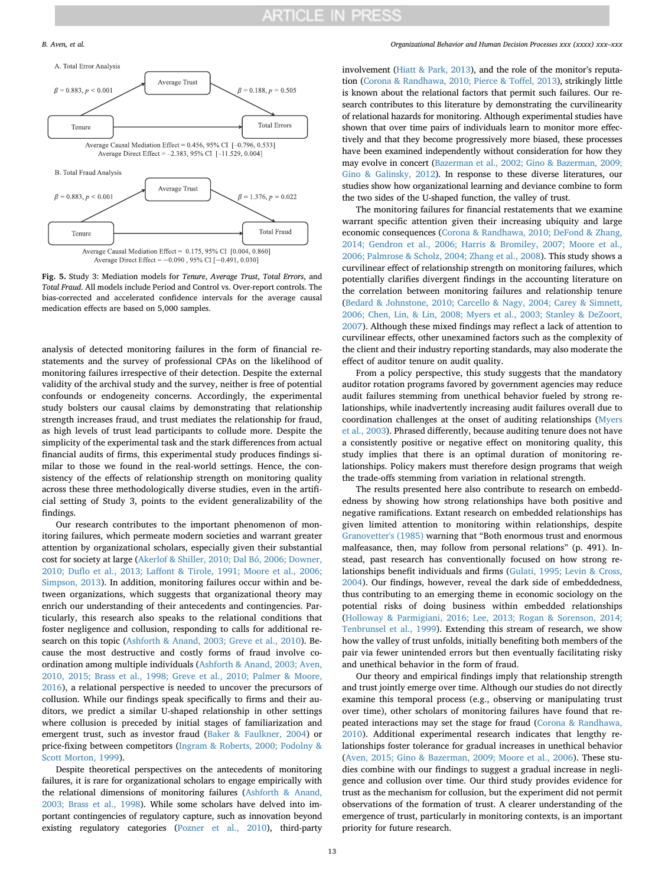<span id="page-12-0"></span>

**Fig. 5.** Study 3: Mediation models for *Tenure*, *Average Trust*, *Total Errors*, and *Total Fraud*. All models include Period and Control vs. Over-report controls. The bias-corrected and accelerated confidence intervals for the average causal medication effects are based on 5,000 samples.

analysis of detected monitoring failures in the form of financial restatements and the survey of professional CPAs on the likelihood of monitoring failures irrespective of their detection. Despite the external validity of the archival study and the survey, neither is free of potential confounds or endogeneity concerns. Accordingly, the experimental study bolsters our causal claims by demonstrating that relationship strength increases fraud, and trust mediates the relationship for fraud, as high levels of trust lead participants to collude more. Despite the simplicity of the experimental task and the stark differences from actual financial audits of firms, this experimental study produces findings similar to those we found in the real-world settings. Hence, the consistency of the effects of relationship strength on monitoring quality across these three methodologically diverse studies, even in the artificial setting of Study 3, points to the evident generalizability of the findings.

Our research contributes to the important phenomenon of monitoring failures, which permeate modern societies and warrant greater attention by organizational scholars, especially given their substantial cost for society at large ([Akerlof & Shiller, 2010; Dal Bó, 2006; Downer,](#page-13-3) [2010; Duflo et al., 2013; Laffont & Tirole, 1991; Moore et al., 2006;](#page-13-3) [Simpson, 2013](#page-13-3)). In addition, monitoring failures occur within and between organizations, which suggests that organizational theory may enrich our understanding of their antecedents and contingencies. Particularly, this research also speaks to the relational conditions that foster negligence and collusion, responding to calls for additional research on this topic [\(Ashforth & Anand, 2003; Greve et al., 2010](#page-13-8)). Because the most destructive and costly forms of fraud involve coordination among multiple individuals ([Ashforth & Anand, 2003; Aven,](#page-13-8) [2010, 2015; Brass et al., 1998; Greve et al., 2010; Palmer & Moore,](#page-13-8) [2016\)](#page-13-8), a relational perspective is needed to uncover the precursors of collusion. While our findings speak specifically to firms and their auditors, we predict a similar U-shaped relationship in other settings where collusion is preceded by initial stages of familiarization and emergent trust, such as investor fraud ([Baker & Faulkner, 2004](#page-13-10)) or price-fixing between competitors [\(Ingram & Roberts, 2000; Podolny &](#page-13-16) [Scott Morton, 1999\)](#page-13-16).

Despite theoretical perspectives on the antecedents of monitoring failures, it is rare for organizational scholars to engage empirically with the relational dimensions of monitoring failures [\(Ashforth & Anand,](#page-13-8) [2003; Brass et al., 1998\)](#page-13-8). While some scholars have delved into important contingencies of regulatory capture, such as innovation beyond existing regulatory categories [\(Pozner et al., 2010\)](#page-14-17), third-party

involvement [\(Hiatt & Park, 2013\)](#page-13-44), and the role of the monitor's reputation ([Corona & Randhawa, 2010; Pierce & Toffel, 2013\)](#page-13-11), strikingly little is known about the relational factors that permit such failures. Our research contributes to this literature by demonstrating the curvilinearity of relational hazards for monitoring. Although experimental studies have shown that over time pairs of individuals learn to monitor more effectively and that they become progressively more biased, these processes have been examined independently without consideration for how they may evolve in concert ([Bazerman et al., 2002; Gino & Bazerman, 2009;](#page-13-9) [Gino & Galinsky, 2012\)](#page-13-9). In response to these diverse literatures, our studies show how organizational learning and deviance combine to form the two sides of the U-shaped function, the valley of trust.

The monitoring failures for financial restatements that we examine warrant specific attention given their increasing ubiquity and large economic consequences ([Corona & Randhawa, 2010; DeFond & Zhang,](#page-13-11) [2014; Gendron et al., 2006; Harris & Bromiley, 2007; Moore et al.,](#page-13-11) [2006; Palmrose & Scholz, 2004; Zhang et al., 2008](#page-13-11)). This study shows a curvilinear effect of relationship strength on monitoring failures, which potentially clarifies divergent findings in the accounting literature on the correlation between monitoring failures and relationship tenure ([Bedard & Johnstone, 2010; Carcello & Nagy, 2004; Carey & Simnett,](#page-13-12) [2006; Chen, Lin, & Lin, 2008; Myers et al., 2003; Stanley & DeZoort,](#page-13-12) [2007\)](#page-13-12). Although these mixed findings may reflect a lack of attention to curvilinear effects, other unexamined factors such as the complexity of the client and their industry reporting standards, may also moderate the effect of auditor tenure on audit quality.

From a policy perspective, this study suggests that the mandatory auditor rotation programs favored by government agencies may reduce audit failures stemming from unethical behavior fueled by strong relationships, while inadvertently increasing audit failures overall due to coordination challenges at the onset of auditing relationships [\(Myers](#page-13-45) [et al., 2003\)](#page-13-45). Phrased differently, because auditing tenure does not have a consistently positive or negative effect on monitoring quality, this study implies that there is an optimal duration of monitoring relationships. Policy makers must therefore design programs that weigh the trade-offs stemming from variation in relational strength.

The results presented here also contribute to research on embeddedness by showing how strong relationships have both positive and negative ramifications. Extant research on embedded relationships has given limited attention to monitoring within relationships, despite [Granovetter's \(1985\)](#page-13-13) warning that "Both enormous trust and enormous malfeasance, then, may follow from personal relations" (p. 491). Instead, past research has conventionally focused on how strong relationships benefit individuals and firms ([Gulati, 1995; Levin & Cross,](#page-13-40) [2004\)](#page-13-40). Our findings, however, reveal the dark side of embeddedness, thus contributing to an emerging theme in economic sociology on the potential risks of doing business within embedded relationships ([Holloway & Parmigiani, 2016; Lee, 2013; Rogan & Sorenson, 2014;](#page-13-15) [Tenbrunsel et al., 1999\)](#page-13-15). Extending this stream of research, we show how the valley of trust unfolds, initially benefiting both members of the pair via fewer unintended errors but then eventually facilitating risky and unethical behavior in the form of fraud.

Our theory and empirical findings imply that relationship strength and trust jointly emerge over time. Although our studies do not directly examine this temporal process (e.g., observing or manipulating trust over time), other scholars of monitoring failures have found that repeated interactions may set the stage for fraud [\(Corona & Randhawa,](#page-13-11) [2010\)](#page-13-11). Additional experimental research indicates that lengthy relationships foster tolerance for gradual increases in unethical behavior ([Aven, 2015; Gino & Bazerman, 2009; Moore et al., 2006](#page-13-2)). These studies combine with our findings to suggest a gradual increase in negligence and collusion over time. Our third study provides evidence for trust as the mechanism for collusion, but the experiment did not permit observations of the formation of trust. A clearer understanding of the emergence of trust, particularly in monitoring contexts, is an important priority for future research.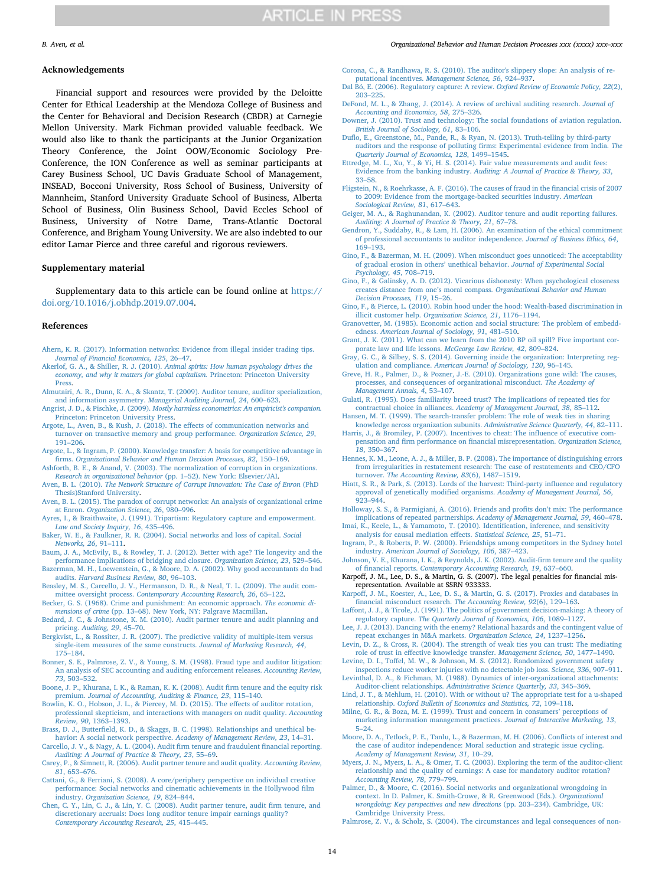#### *B. Aven, et al. Organizational Behavior and Human Decision Processes xxx (xxxx) xxx–xxx*

#### **Acknowledgements**

Financial support and resources were provided by the Deloitte Center for Ethical Leadership at the Mendoza College of Business and the Center for Behavioral and Decision Research (CBDR) at Carnegie Mellon University. Mark Fichman provided valuable feedback. We would also like to thank the participants at the Junior Organization Theory Conference, the Joint OOW/Economic Sociology Pre-Conference, the ION Conference as well as seminar participants at Carey Business School, UC Davis Graduate School of Management, INSEAD, Bocconi University, Ross School of Business, University of Mannheim, Stanford University Graduate School of Business, Alberta School of Business, Olin Business School, David Eccles School of Business, University of Notre Dame, Trans-Atlantic Doctoral Conference, and Brigham Young University. We are also indebted to our editor Lamar Pierce and three careful and rigorous reviewers.

#### **Supplementary material**

Supplementary data to this article can be found online at [https://](https://doi.org/10.1016/j.obhdp.2019.07.004) [doi.org/10.1016/j.obhdp.2019.07.004.](https://doi.org/10.1016/j.obhdp.2019.07.004)

#### **References**

- <span id="page-13-17"></span>[Ahern, K. R. \(2017\). Information networks: Evidence from illegal insider trading tips.](http://refhub.elsevier.com/S0749-5978(18)30143-2/h0005) *[Journal of Financial Economics, 125](http://refhub.elsevier.com/S0749-5978(18)30143-2/h0005)*, 26–47.
- <span id="page-13-3"></span>Akerlof, G. A., & Shiller, R. J. (2010). *[Animal spirits: How human psychology drives the](http://refhub.elsevier.com/S0749-5978(18)30143-2/h0010) [economy, and why it matters for global capitalism.](http://refhub.elsevier.com/S0749-5978(18)30143-2/h0010)* Princeton: Princeton University [Press.](http://refhub.elsevier.com/S0749-5978(18)30143-2/h0010)
- <span id="page-13-14"></span>[Almutairi, A. R., Dunn, K. A., & Skantz, T. \(2009\). Auditor tenure, auditor specialization,](http://refhub.elsevier.com/S0749-5978(18)30143-2/h0015) and information asymmetry. *[Managerial Auditing Journal, 24](http://refhub.elsevier.com/S0749-5978(18)30143-2/h0015)*, 600–623.
- <span id="page-13-34"></span>Angrist, J. D., & Pischke, J. (2009). *[Mostly harmless econometrics: An empiricist's companion.](http://refhub.elsevier.com/S0749-5978(18)30143-2/h0020)* [Princeton: Princeton University Press](http://refhub.elsevier.com/S0749-5978(18)30143-2/h0020).
- <span id="page-13-27"></span>[Argote, L., Aven, B., & Kush, J. \(2018\). The effects of communication networks and](http://refhub.elsevier.com/S0749-5978(18)30143-2/optu6Lnhqbrki) [turnover on transactive memory and group performance.](http://refhub.elsevier.com/S0749-5978(18)30143-2/optu6Lnhqbrki) *Organization Science, 29*, [191–206](http://refhub.elsevier.com/S0749-5978(18)30143-2/optu6Lnhqbrki).
- <span id="page-13-7"></span>[Argote, L., & Ingram, P. \(2000\). Knowledge transfer: A basis for competitive advantage in](http://refhub.elsevier.com/S0749-5978(18)30143-2/h0025) firms. *[Organizational Behavior and Human Decision Processes, 82](http://refhub.elsevier.com/S0749-5978(18)30143-2/h0025)*, 150–169.
- <span id="page-13-8"></span>[Ashforth, B. E., & Anand, V. \(2003\). The normalization of corruption in organizations.](http://refhub.elsevier.com/S0749-5978(18)30143-2/h0030) *Research in organizational behavior* [\(pp. 1–52\). New York: Elsevier/JAI.](http://refhub.elsevier.com/S0749-5978(18)30143-2/h0030)
- Aven, B. L. (2010). *[The Network Structure of Corrupt Innovation: The Case of Enron](http://refhub.elsevier.com/S0749-5978(18)30143-2/h9885)* (PhD [Thesis\)Stanford University.](http://refhub.elsevier.com/S0749-5978(18)30143-2/h9885)
- <span id="page-13-2"></span>[Aven, B. L. \(2015\). The paradox of corrupt networks: An analysis of organizational crime](http://refhub.elsevier.com/S0749-5978(18)30143-2/h0035) at Enron. *[Organization Science, 26](http://refhub.elsevier.com/S0749-5978(18)30143-2/h0035)*, 980–996.
- <span id="page-13-4"></span>[Ayres, I., & Braithwaite, J. \(1991\). Tripartism: Regulatory capture and empowerment.](http://refhub.elsevier.com/S0749-5978(18)30143-2/h0040) *[Law and Society Inquiry, 16](http://refhub.elsevier.com/S0749-5978(18)30143-2/h0040)*, 435–496.
- <span id="page-13-10"></span>[Baker, W. E., & Faulkner, R. R. \(2004\). Social networks and loss of capital.](http://refhub.elsevier.com/S0749-5978(18)30143-2/h0045) *Social [Networks, 26](http://refhub.elsevier.com/S0749-5978(18)30143-2/h0045)*, 91–111.
- <span id="page-13-30"></span>[Baum, J. A., McEvily, B., & Rowley, T. J. \(2012\). Better with age? Tie longevity and the](http://refhub.elsevier.com/S0749-5978(18)30143-2/h0050) [performance implications of bridging and closure.](http://refhub.elsevier.com/S0749-5978(18)30143-2/h0050) *Organization Science, 23*, 529–546.
- <span id="page-13-9"></span>[Bazerman, M. H., Loewenstein, G., & Moore, D. A. \(2002\). Why good accountants do bad](http://refhub.elsevier.com/S0749-5978(18)30143-2/h0055) audits. *[Harvard Business Review, 80](http://refhub.elsevier.com/S0749-5978(18)30143-2/h0055)*, 96–103. [Beasley, M. S., Carcello, J. V., Hermanson, D. R., & Neal, T. L. \(2009\). The audit com-](http://refhub.elsevier.com/S0749-5978(18)30143-2/h0060)
- <span id="page-13-25"></span>mittee oversight process. *[Contemporary Accounting Research, 26](http://refhub.elsevier.com/S0749-5978(18)30143-2/h0060)*, 65–122. [Becker, G. S. \(1968\). Crime and punishment: An economic approach.](http://refhub.elsevier.com/S0749-5978(18)30143-2/h0065) *The economic di-*
- <span id="page-13-5"></span>*mensions of crime* [\(pp. 13–68\). New York, NY: Palgrave Macmillan](http://refhub.elsevier.com/S0749-5978(18)30143-2/h0065).
- <span id="page-13-12"></span>[Bedard, J. C., & Johnstone, K. M. \(2010\). Audit partner tenure and audit planning and](http://refhub.elsevier.com/S0749-5978(18)30143-2/h0070) pricing. *[Auditing, 29](http://refhub.elsevier.com/S0749-5978(18)30143-2/h0070)*, 45–70.
- <span id="page-13-42"></span>[Bergkvist, L., & Rossiter, J. R. \(2007\). The predictive validity of multiple-item versus](http://refhub.elsevier.com/S0749-5978(18)30143-2/h0075) [single-item measures of the same constructs.](http://refhub.elsevier.com/S0749-5978(18)30143-2/h0075) *Journal of Marketing Research, 44*, [175–184](http://refhub.elsevier.com/S0749-5978(18)30143-2/h0075).
- <span id="page-13-24"></span>[Bonner, S. E., Palmrose, Z. V., & Young, S. M. \(1998\). Fraud type and auditor litigation:](http://refhub.elsevier.com/S0749-5978(18)30143-2/h0080) [An analysis of SEC accounting and auditing enforcement releases.](http://refhub.elsevier.com/S0749-5978(18)30143-2/h0080) *Accounting Review, 73*[, 503–532](http://refhub.elsevier.com/S0749-5978(18)30143-2/h0080).
- <span id="page-13-18"></span>[Boone, J. P., Khurana, I. K., & Raman, K. K. \(2008\). Audit firm tenure and the equity risk](http://refhub.elsevier.com/S0749-5978(18)30143-2/h0085) premium. *[Journal of Accounting, Auditing & Finance, 23](http://refhub.elsevier.com/S0749-5978(18)30143-2/h0085)*, 115–140.
- <span id="page-13-26"></span>[Bowlin, K. O., Hobson, J. L., & Piercey, M. D. \(2015\). The effects of auditor rotation,](http://refhub.elsevier.com/S0749-5978(18)30143-2/h0090) [professional skepticism, and interactions with managers on audit quality.](http://refhub.elsevier.com/S0749-5978(18)30143-2/h0090) *Accounting Review, 90*[, 1363–1393](http://refhub.elsevier.com/S0749-5978(18)30143-2/h0090).
- <span id="page-13-20"></span>[Brass, D. J., Butterfield, K. D., & Skaggs, B. C. \(1998\). Relationships and unethical be](http://refhub.elsevier.com/S0749-5978(18)30143-2/h0095)[havior: A social network perspective.](http://refhub.elsevier.com/S0749-5978(18)30143-2/h0095) *Academy of Management Review, 23*, 14–31. [Carcello, J. V., & Nagy, A. L. \(2004\). Audit firm tenure and fraudulent financial reporting.](http://refhub.elsevier.com/S0749-5978(18)30143-2/h0100)
- <span id="page-13-29"></span>*[Auditing: A Journal of Practice & Theory, 23](http://refhub.elsevier.com/S0749-5978(18)30143-2/h0100)*, 55–69. [Carey, P., & Simnett, R. \(2006\). Audit partner tenure and audit quality.](http://refhub.elsevier.com/S0749-5978(18)30143-2/h0105) *Accounting Review,*
- *81*[, 653–676](http://refhub.elsevier.com/S0749-5978(18)30143-2/h0105).
- [Cattani, G., & Ferriani, S. \(2008\). A core/periphery perspective on individual creative](http://refhub.elsevier.com/S0749-5978(18)30143-2/h0110) [performance: Social networks and cinematic achievements in the Hollywood film](http://refhub.elsevier.com/S0749-5978(18)30143-2/h0110) industry. *[Organization Science, 19](http://refhub.elsevier.com/S0749-5978(18)30143-2/h0110)*, 824–844.
- [Chen, C. Y., Lin, C. J., & Lin, Y. C. \(2008\). Audit partner tenure, audit firm tenure, and](http://refhub.elsevier.com/S0749-5978(18)30143-2/h0115) [discretionary accruals: Does long auditor tenure impair earnings quality?](http://refhub.elsevier.com/S0749-5978(18)30143-2/h0115) *[Contemporary Accounting Research, 25](http://refhub.elsevier.com/S0749-5978(18)30143-2/h0115)*, 415–445.
- <span id="page-13-11"></span>[Corona, C., & Randhawa, R. S. \(2010\). The auditor's slippery slope: An analysis of re](http://refhub.elsevier.com/S0749-5978(18)30143-2/h0120)putational incentives. *[Management Science, 56](http://refhub.elsevier.com/S0749-5978(18)30143-2/h0120)*, 924–937.
- <span id="page-13-0"></span>[Dal Bó, E. \(2006\). Regulatory capture: A review.](http://refhub.elsevier.com/S0749-5978(18)30143-2/h0125) *Oxford Review of Economic Policy, 22*(2), [203–225](http://refhub.elsevier.com/S0749-5978(18)30143-2/h0125).
- <span id="page-13-22"></span>[DeFond, M. L., & Zhang, J. \(2014\). A review of archival auditing research.](http://refhub.elsevier.com/S0749-5978(18)30143-2/h0130) *Journal of [Accounting and Economics, 58](http://refhub.elsevier.com/S0749-5978(18)30143-2/h0130)*, 275–326.
- <span id="page-13-6"></span>[Downer, J. \(2010\). Trust and technology: The social foundations of aviation regulation.](http://refhub.elsevier.com/S0749-5978(18)30143-2/h0135) *[British Journal of Sociology, 61](http://refhub.elsevier.com/S0749-5978(18)30143-2/h0135)*, 83–106.
- [Duflo, E., Greenstone, M., Pande, R., & Ryan, N. \(2013\). Truth-telling by third-party](http://refhub.elsevier.com/S0749-5978(18)30143-2/h0140) [auditors and the response of polluting firms: Experimental evidence from India.](http://refhub.elsevier.com/S0749-5978(18)30143-2/h0140) *The*
- <span id="page-13-33"></span>*[Quarterly Journal of Economics, 128](http://refhub.elsevier.com/S0749-5978(18)30143-2/h0140)*, 1499–1545. [Ettredge, M. L., Xu, Y., & Yi, H. S. \(2014\). Fair value measurements and audit fees:](http://refhub.elsevier.com/S0749-5978(18)30143-2/h0145) Evidence from the banking industry. *[Auditing: A Journal of Practice & Theory, 33](http://refhub.elsevier.com/S0749-5978(18)30143-2/h0145)*, [33–58](http://refhub.elsevier.com/S0749-5978(18)30143-2/h0145).
- <span id="page-13-21"></span>[Fligstein, N., & Roehrkasse, A. F. \(2016\). The causes of fraud in the financial crisis of 2007](http://refhub.elsevier.com/S0749-5978(18)30143-2/h0150) [to 2009: Evidence from the mortgage-backed securities industry.](http://refhub.elsevier.com/S0749-5978(18)30143-2/h0150) *American [Sociological Review, 81](http://refhub.elsevier.com/S0749-5978(18)30143-2/h0150)*, 617–643.
- [Geiger, M. A., & Raghunandan, K. \(2002\). Auditor tenure and audit reporting failures.](http://refhub.elsevier.com/S0749-5978(18)30143-2/h0155) *[Auditing: A Journal of Practice & Theory, 21](http://refhub.elsevier.com/S0749-5978(18)30143-2/h0155)*, 67–78.
- <span id="page-13-23"></span>[Gendron, Y., Suddaby, R., & Lam, H. \(2006\). An examination of the ethical commitment](http://refhub.elsevier.com/S0749-5978(18)30143-2/h0160) [of professional accountants to auditor independence.](http://refhub.elsevier.com/S0749-5978(18)30143-2/h0160) *Journal of Business Ethics, 64*, [169–193](http://refhub.elsevier.com/S0749-5978(18)30143-2/h0160).
- [Gino, F., & Bazerman, M. H. \(2009\). When misconduct goes unnoticed: The acceptability](http://refhub.elsevier.com/S0749-5978(18)30143-2/h0165) [of gradual erosion in others' unethical behavior.](http://refhub.elsevier.com/S0749-5978(18)30143-2/h0165) *Journal of Experimental Social [Psychology, 45](http://refhub.elsevier.com/S0749-5978(18)30143-2/h0165)*, 708–719.
- [Gino, F., & Galinsky, A. D. \(2012\). Vicarious dishonesty: When psychological closeness](http://refhub.elsevier.com/S0749-5978(18)30143-2/h0170) [creates distance from one's moral compass.](http://refhub.elsevier.com/S0749-5978(18)30143-2/h0170) *Organizational Behavior and Human [Decision Processes, 119](http://refhub.elsevier.com/S0749-5978(18)30143-2/h0170)*, 15–26.
- <span id="page-13-31"></span>[Gino, F., & Pierce, L. \(2010\). Robin hood under the hood: Wealth-based discrimination in](http://refhub.elsevier.com/S0749-5978(18)30143-2/h0175) illicit customer help. *[Organization Science, 21](http://refhub.elsevier.com/S0749-5978(18)30143-2/h0175)*, 1176–1194.
- <span id="page-13-13"></span>[Granovetter, M. \(1985\). Economic action and social structure: The problem of embedd](http://refhub.elsevier.com/S0749-5978(18)30143-2/h0180)edness. *[American Journal of Sociology, 91](http://refhub.elsevier.com/S0749-5978(18)30143-2/h0180)*, 481–510.
- <span id="page-13-1"></span>[Grant, J. K. \(2011\). What can we learn from the 2010 BP oil spill? Five important cor](http://refhub.elsevier.com/S0749-5978(18)30143-2/h0185)[porate law and life lessons.](http://refhub.elsevier.com/S0749-5978(18)30143-2/h0185) *McGeorge Law Review, 42*, 809–824.
- [Gray, G. C., & Silbey, S. S. \(2014\). Governing inside the organization: Interpreting reg](http://refhub.elsevier.com/S0749-5978(18)30143-2/h0190)ulation and compliance. *[American Journal of Sociology, 120](http://refhub.elsevier.com/S0749-5978(18)30143-2/h0190)*, 96–145.
- [Greve, H. R., Palmer, D., & Pozner, J.-E. \(2010\). Organizations gone wild: The causes,](http://refhub.elsevier.com/S0749-5978(18)30143-2/h0195) [processes, and consequences of organizational misconduct.](http://refhub.elsevier.com/S0749-5978(18)30143-2/h0195) *The Academy of [Management Annals, 4](http://refhub.elsevier.com/S0749-5978(18)30143-2/h0195)*, 53–107.
- <span id="page-13-40"></span>[Gulati, R. \(1995\). Does familiarity breed trust? The implications of repeated ties for](http://refhub.elsevier.com/S0749-5978(18)30143-2/h0200) contractual choice in alliances. *[Academy of Management Journal, 38](http://refhub.elsevier.com/S0749-5978(18)30143-2/h0200)*, 85–112.
- [Hansen, M. T. \(1999\). The search-transfer problem: The role of weak ties in sharing](http://refhub.elsevier.com/S0749-5978(18)30143-2/h0205) [knowledge across organization subunits.](http://refhub.elsevier.com/S0749-5978(18)30143-2/h0205) *Administrative Science Quarterly, 44*, 82–111.
- <span id="page-13-36"></span>[Harris, J., & Bromiley, P. \(2007\). Incentives to cheat: The influence of executive com](http://refhub.elsevier.com/S0749-5978(18)30143-2/h0210)[pensation and firm performance on financial misrepresentation.](http://refhub.elsevier.com/S0749-5978(18)30143-2/h0210) *Organization Science, 18*[, 350–367](http://refhub.elsevier.com/S0749-5978(18)30143-2/h0210).
- <span id="page-13-38"></span>[Hennes, K. M., Leone, A. J., & Miller, B. P. \(2008\). The importance of distinguishing errors](http://refhub.elsevier.com/S0749-5978(18)30143-2/h9020) [from irregularities in restatement research: The case of restatements and CEO/CFO](http://refhub.elsevier.com/S0749-5978(18)30143-2/h9020) turnover. *[The Accounting Review, 83](http://refhub.elsevier.com/S0749-5978(18)30143-2/h9020)*(6), 1487–1519.
- <span id="page-13-44"></span>[Hiatt, S. R., & Park, S. \(2013\). Lords of the harvest: Third-party influence and regulatory](http://refhub.elsevier.com/S0749-5978(18)30143-2/h0215) [approval of genetically modified organisms.](http://refhub.elsevier.com/S0749-5978(18)30143-2/h0215) *Academy of Management Journal, 56*, [923–944](http://refhub.elsevier.com/S0749-5978(18)30143-2/h0215).
- <span id="page-13-15"></span>[Holloway, S. S., & Parmigiani, A. \(2016\). Friends and profits don't mix: The performance](http://refhub.elsevier.com/S0749-5978(18)30143-2/h0220) [implications of repeated partnerships.](http://refhub.elsevier.com/S0749-5978(18)30143-2/h0220) *Academy of Management Journal, 59*, 460–478. [Imai, K., Keele, L., & Yamamoto, T. \(2010\). Identification, inference, and sensitivity](http://refhub.elsevier.com/S0749-5978(18)30143-2/h0225)
- <span id="page-13-43"></span>[analysis for causal mediation effects.](http://refhub.elsevier.com/S0749-5978(18)30143-2/h0225) *Statistical Science, 25*, 51–71.
- <span id="page-13-16"></span>[Ingram, P., & Roberts, P. W. \(2000\). Friendships among competitors in the Sydney hotel](http://refhub.elsevier.com/S0749-5978(18)30143-2/h0230) industry. *[American Journal of Sociology, 106](http://refhub.elsevier.com/S0749-5978(18)30143-2/h0230)*, 387–423.
- [Johnson, V. E., Khurana, I. K., & Reynolds, J. K. \(2002\). Audit-firm tenure and the quality](http://refhub.elsevier.com/S0749-5978(18)30143-2/h0235) of financial reports. *[Contemporary Accounting Research, 19](http://refhub.elsevier.com/S0749-5978(18)30143-2/h0235)*, 637–660. Karpoff, J. M., Lee, D. S., & Martin, G. S. (2007). The legal penalties for financial mis-
- <span id="page-13-37"></span>representation. Available at SSRN 933333.
- <span id="page-13-28"></span>[Karpoff, J. M., Koester, A., Lee, D. S., & Martin, G. S. \(2017\). Proxies and databases in](http://refhub.elsevier.com/S0749-5978(18)30143-2/h9000) [financial misconduct research.](http://refhub.elsevier.com/S0749-5978(18)30143-2/h9000) *The Accounting Review, 92*(6), 129–163.
- [Laffont, J. J., & Tirole, J. \(1991\). The politics of government decision-making: A theory of](http://refhub.elsevier.com/S0749-5978(18)30143-2/h0240) regulatory capture. *[The Quarterly Journal of Economics, 106](http://refhub.elsevier.com/S0749-5978(18)30143-2/h0240)*, 1089–1127.
- [Lee, J. J. \(2013\). Dancing with the enemy? Relational hazards and the contingent value of](http://refhub.elsevier.com/S0749-5978(18)30143-2/h0245) [repeat exchanges in M&A markets.](http://refhub.elsevier.com/S0749-5978(18)30143-2/h0245) *Organization Science, 24*, 1237–1256.
- <span id="page-13-19"></span>[Levin, D. Z., & Cross, R. \(2004\). The strength of weak ties you can trust: The mediating](http://refhub.elsevier.com/S0749-5978(18)30143-2/h0250) [role of trust in effective knowledge transfer.](http://refhub.elsevier.com/S0749-5978(18)30143-2/h0250) *Management Science, 50*, 1477–1490. [Levine, D. I., Toffel, M. W., & Johnson, M. S. \(2012\). Randomized government safety](http://refhub.elsevier.com/S0749-5978(18)30143-2/h0255)
- [inspections reduce worker injuries with no detectable job loss.](http://refhub.elsevier.com/S0749-5978(18)30143-2/h0255) *Science, 336*, 907–911. [Levinthal, D. A., & Fichman, M. \(1988\). Dynamics of inter-organizational attachments:](http://refhub.elsevier.com/S0749-5978(18)30143-2/h0260)
- <span id="page-13-35"></span>Auditor-client relationships. *[Administrative Science Quarterly, 33](http://refhub.elsevier.com/S0749-5978(18)30143-2/h0260)*, 345–369. [Lind, J. T., & Mehlum, H. \(2010\). With or without u? The appropriate test for a u-shaped](http://refhub.elsevier.com/S0749-5978(18)30143-2/h0265)
- <span id="page-13-41"></span>relationship. *[Oxford Bulletin of Economics and Statistics, 72](http://refhub.elsevier.com/S0749-5978(18)30143-2/h0265)*, 109–118. [Milne, G. R., & Boza, M. E. \(1999\). Trust and concern in consumers' perceptions of](http://refhub.elsevier.com/S0749-5978(18)30143-2/h0270)
- [marketing information management practices.](http://refhub.elsevier.com/S0749-5978(18)30143-2/h0270) *Journal of Interactive Marketing, 13*, [5–24.](http://refhub.elsevier.com/S0749-5978(18)30143-2/h0270)
- <span id="page-13-32"></span>[Moore, D. A., Tetlock, P. E., Tanlu, L., & Bazerman, M. H. \(2006\). Conflicts of interest and](http://refhub.elsevier.com/S0749-5978(18)30143-2/h0275) [the case of auditor independence: Moral seduction and strategic issue cycling.](http://refhub.elsevier.com/S0749-5978(18)30143-2/h0275) *[Academy of Management Review, 31](http://refhub.elsevier.com/S0749-5978(18)30143-2/h0275)*, 10–29.
- <span id="page-13-45"></span>[Myers, J. N., Myers, L. A., & Omer, T. C. \(2003\). Exploring the term of the auditor-client](http://refhub.elsevier.com/S0749-5978(18)30143-2/h0280) [relationship and the quality of earnings: A case for mandatory auditor rotation?](http://refhub.elsevier.com/S0749-5978(18)30143-2/h0280) *[Accounting Review, 78](http://refhub.elsevier.com/S0749-5978(18)30143-2/h0280)*, 779–799.
- [Palmer, D., & Moore, C. \(2016\). Social networks and organizational wrongdoing in](http://refhub.elsevier.com/S0749-5978(18)30143-2/h0285) [context. In D. Palmer, K. Smith-Crowe, & R. Greenwood \(Eds.\).](http://refhub.elsevier.com/S0749-5978(18)30143-2/h0285) *Organizational [wrongdoing: Key perspectives and new directions](http://refhub.elsevier.com/S0749-5978(18)30143-2/h0285)* (pp. 203–234). Cambridge, UK: [Cambridge University Press](http://refhub.elsevier.com/S0749-5978(18)30143-2/h0285).

<span id="page-13-39"></span>[Palmrose, Z. V., & Scholz, S. \(2004\). The circumstances and legal consequences of non-](http://refhub.elsevier.com/S0749-5978(18)30143-2/h0290)